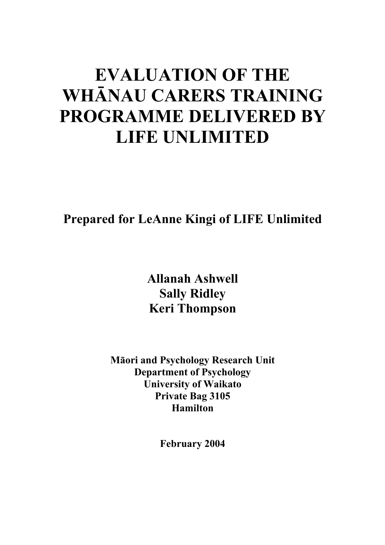# **EVALUATION OF THE WHĀNAU CARERS TRAINING PROGRAMME DELIVERED BY LIFE UNLIMITED**

**Prepared for LeAnne Kingi of LIFE Unlimited** 

**Allanah Ashwell Sally Ridley Keri Thompson** 

**Māori and Psychology Research Unit Department of Psychology University of Waikato Private Bag 3105 Hamilton** 

**February 2004**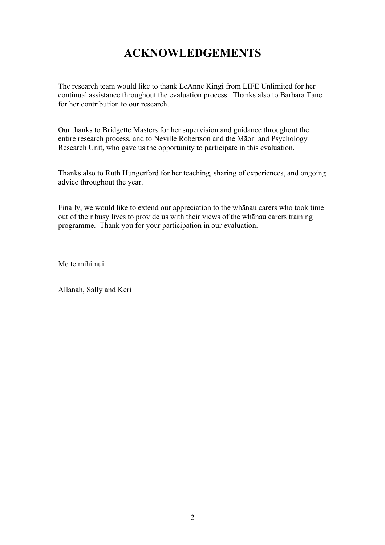# **ACKNOWLEDGEMENTS**

The research team would like to thank LeAnne Kingi from LIFE Unlimited for her continual assistance throughout the evaluation process. Thanks also to Barbara Tane for her contribution to our research.

Our thanks to Bridgette Masters for her supervision and guidance throughout the entire research process, and to Neville Robertson and the Māori and Psychology Research Unit, who gave us the opportunity to participate in this evaluation.

Thanks also to Ruth Hungerford for her teaching, sharing of experiences, and ongoing advice throughout the year.

Finally, we would like to extend our appreciation to the whānau carers who took time out of their busy lives to provide us with their views of the whānau carers training programme. Thank you for your participation in our evaluation.

Me te mihi nui

Allanah, Sally and Keri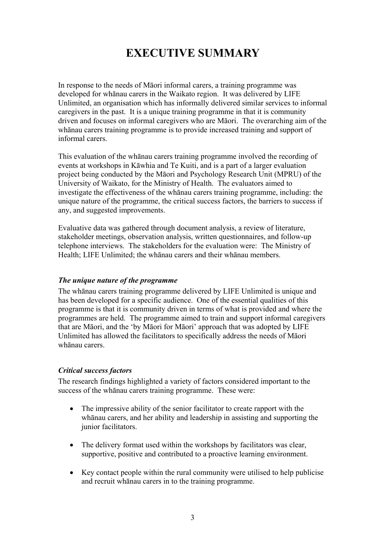# **EXECUTIVE SUMMARY**

In response to the needs of Māori informal carers, a training programme was developed for whānau carers in the Waikato region. It was delivered by LIFE Unlimited, an organisation which has informally delivered similar services to informal caregivers in the past. It is a unique training programme in that it is community driven and focuses on informal caregivers who are Māori. The overarching aim of the whānau carers training programme is to provide increased training and support of informal carers.

This evaluation of the whānau carers training programme involved the recording of events at workshops in Kāwhia and Te Kuiti, and is a part of a larger evaluation project being conducted by the Māori and Psychology Research Unit (MPRU) of the University of Waikato, for the Ministry of Health. The evaluators aimed to investigate the effectiveness of the whānau carers training programme, including: the unique nature of the programme, the critical success factors, the barriers to success if any, and suggested improvements.

Evaluative data was gathered through document analysis, a review of literature, stakeholder meetings, observation analysis, written questionnaires, and follow-up telephone interviews. The stakeholders for the evaluation were: The Ministry of Health; LIFE Unlimited; the whānau carers and their whānau members.

#### *The unique nature of the programme*

The whānau carers training programme delivered by LIFE Unlimited is unique and has been developed for a specific audience. One of the essential qualities of this programme is that it is community driven in terms of what is provided and where the programmes are held. The programme aimed to train and support informal caregivers that are Māori, and the 'by Māori for Māori' approach that was adopted by LIFE Unlimited has allowed the facilitators to specifically address the needs of Māori whānau carers.

#### *Critical success factors*

The research findings highlighted a variety of factors considered important to the success of the whānau carers training programme. These were:

- The impressive ability of the senior facilitator to create rapport with the whānau carers, and her ability and leadership in assisting and supporting the junior facilitators.
- The delivery format used within the workshops by facilitators was clear, supportive, positive and contributed to a proactive learning environment.
- Key contact people within the rural community were utilised to help publicise and recruit whānau carers in to the training programme.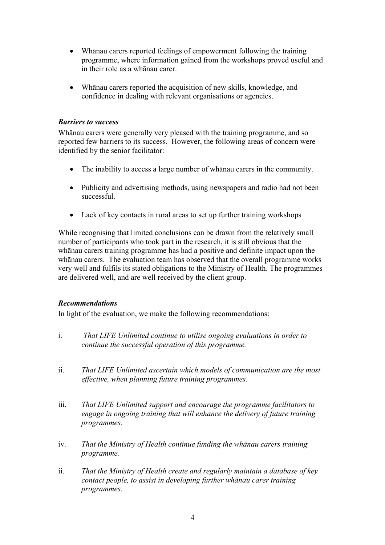- Whānau carers reported feelings of empowerment following the training programme, where information gained from the workshops proved useful and in their role as a whānau carer.
- Whānau carers reported the acquisition of new skills, knowledge, and confidence in dealing with relevant organisations or agencies.

#### *Barriers to success*

Whānau carers were generally very pleased with the training programme, and so reported few barriers to its success. However, the following areas of concern were identified by the senior facilitator:

- The inability to access a large number of whānau carers in the community.
- Publicity and advertising methods, using newspapers and radio had not been successful.
- Lack of key contacts in rural areas to set up further training workshops

While recognising that limited conclusions can be drawn from the relatively small number of participants who took part in the research, it is still obvious that the whānau carers training programme has had a positive and definite impact upon the whānau carers. The evaluation team has observed that the overall programme works very well and fulfils its stated obligations to the Ministry of Health. The programmes are delivered well, and are well received by the client group.

#### *Recommendations*

In light of the evaluation, we make the following recommendations:

- i. *That LIFE Unlimited continue to utilise ongoing evaluations in order to continue the successful operation of this programme.*
- ii. *That LIFE Unlimited ascertain which models of communication are the most effective, when planning future training programmes.*
- iii. *That LIFE Unlimited support and encourage the programme facilitators to engage in ongoing training that will enhance the delivery of future training programmes.*
- iv. *That the Ministry of Health continue funding the whānau carers training programme.*
- ii. *That the Ministry of Health create and regularly maintain a database of key contact people, to assist in developing further whānau carer training programmes.*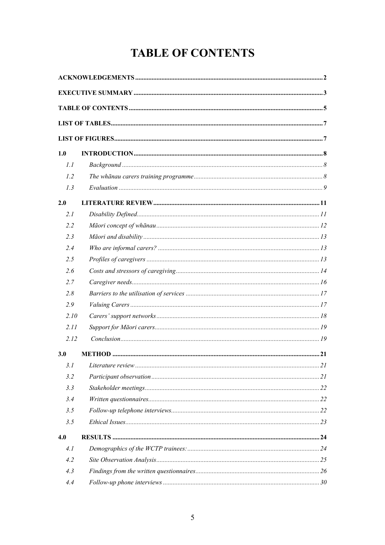# **TABLE OF CONTENTS**

| 1.0  |  |
|------|--|
| 1.1  |  |
| 1.2  |  |
| 1.3  |  |
| 2.0  |  |
| 2.1  |  |
| 2.2  |  |
| 2.3  |  |
| 2.4  |  |
| 2.5  |  |
| 2.6  |  |
| 2.7  |  |
| 2.8  |  |
| 2.9  |  |
| 2.10 |  |
| 2.11 |  |
| 2.12 |  |
| 3.0  |  |
|      |  |
| 3.2  |  |
| 3.3  |  |
| 3.4  |  |
| 3.5  |  |
| 3.5  |  |
| 4.0  |  |
| 4.1  |  |
| 4.2  |  |
| 4.3  |  |
| 4.4  |  |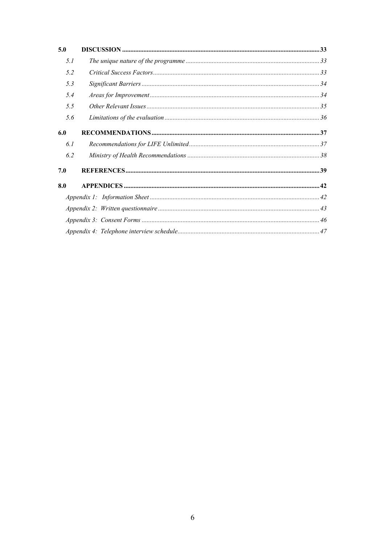| 5.0 |  |  |  |  |  |
|-----|--|--|--|--|--|
| 5.1 |  |  |  |  |  |
| 5.2 |  |  |  |  |  |
| 53  |  |  |  |  |  |
| 5.4 |  |  |  |  |  |
| 5.5 |  |  |  |  |  |
| 5.6 |  |  |  |  |  |
| 6.0 |  |  |  |  |  |
| 6.1 |  |  |  |  |  |
| 6.2 |  |  |  |  |  |
| 7.0 |  |  |  |  |  |
| 8.0 |  |  |  |  |  |
|     |  |  |  |  |  |
|     |  |  |  |  |  |
|     |  |  |  |  |  |
|     |  |  |  |  |  |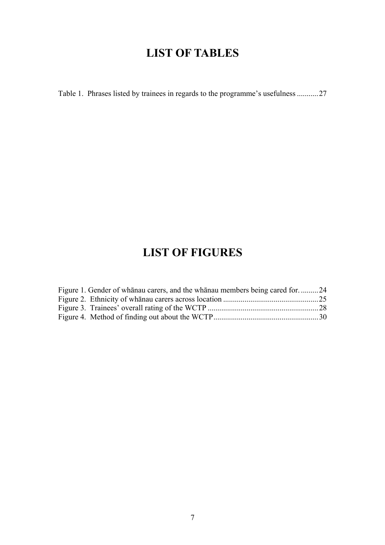# **LIST OF TABLES**

Table 1. Phrases listed by trainees in regards to the programme's usefulness ...........27

# **LIST OF FIGURES**

| Figure 1. Gender of whanau carers, and the whanau members being cared for24 |  |
|-----------------------------------------------------------------------------|--|
|                                                                             |  |
|                                                                             |  |
|                                                                             |  |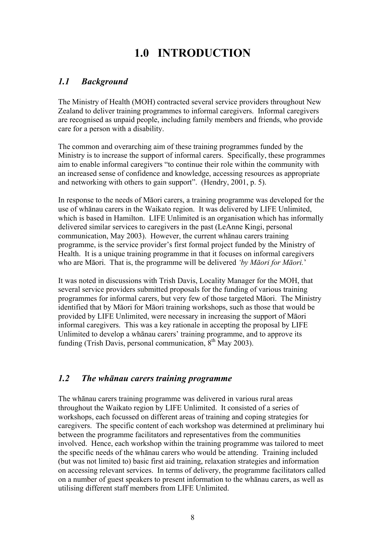# **1.0 INTRODUCTION**

# *1.1 Background*

The Ministry of Health (MOH) contracted several service providers throughout New Zealand to deliver training programmes to informal caregivers. Informal caregivers are recognised as unpaid people, including family members and friends, who provide care for a person with a disability.

The common and overarching aim of these training programmes funded by the Ministry is to increase the support of informal carers. Specifically, these programmes aim to enable informal caregivers "to continue their role within the community with an increased sense of confidence and knowledge, accessing resources as appropriate and networking with others to gain support". (Hendry, 2001, p. 5).

In response to the needs of Māori carers, a training programme was developed for the use of whānau carers in the Waikato region. It was delivered by LIFE Unlimited, which is based in Hamilton. LIFE Unlimited is an organisation which has informally delivered similar services to caregivers in the past (LeAnne Kingi, personal communication, May 2003). However, the current whānau carers training programme, is the service provider's first formal project funded by the Ministry of Health. It is a unique training programme in that it focuses on informal caregivers who are Māori. That is, the programme will be delivered *'by Māori for Māori.*'

It was noted in discussions with Trish Davis, Locality Manager for the MOH, that several service providers submitted proposals for the funding of various training programmes for informal carers, but very few of those targeted Māori. The Ministry identified that by Māori for Māori training workshops, such as those that would be provided by LIFE Unlimited, were necessary in increasing the support of Māori informal caregivers. This was a key rationale in accepting the proposal by LIFE Unlimited to develop a whānau carers' training programme, and to approve its funding (Trish Davis, personal communication,  $8<sup>th</sup>$  May 2003).

# *1.2 The whānau carers training programme*

The whānau carers training programme was delivered in various rural areas throughout the Waikato region by LIFE Unlimited. It consisted of a series of workshops, each focussed on different areas of training and coping strategies for caregivers. The specific content of each workshop was determined at preliminary hui between the programme facilitators and representatives from the communities involved. Hence, each workshop within the training programme was tailored to meet the specific needs of the whānau carers who would be attending. Training included (but was not limited to) basic first aid training, relaxation strategies and information on accessing relevant services. In terms of delivery, the programme facilitators called on a number of guest speakers to present information to the whānau carers, as well as utilising different staff members from LIFE Unlimited.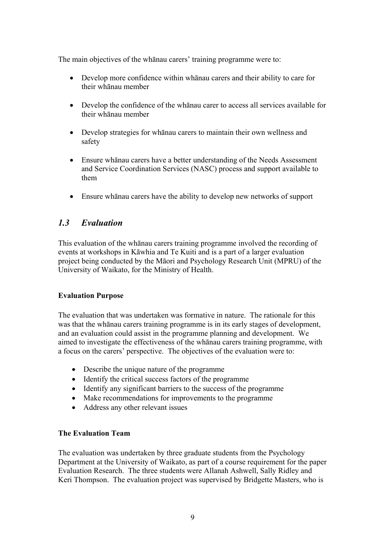The main objectives of the whānau carers' training programme were to:

- Develop more confidence within whanau carers and their ability to care for their whānau member
- Develop the confidence of the whānau carer to access all services available for their whānau member
- Develop strategies for whānau carers to maintain their own wellness and safety
- Ensure whanau carers have a better understanding of the Needs Assessment and Service Coordination Services (NASC) process and support available to them
- Ensure whānau carers have the ability to develop new networks of support

# *1.3 Evaluation*

This evaluation of the whānau carers training programme involved the recording of events at workshops in Kāwhia and Te Kuiti and is a part of a larger evaluation project being conducted by the Māori and Psychology Research Unit (MPRU) of the University of Waikato, for the Ministry of Health.

#### **Evaluation Purpose**

The evaluation that was undertaken was formative in nature. The rationale for this was that the whānau carers training programme is in its early stages of development, and an evaluation could assist in the programme planning and development. We aimed to investigate the effectiveness of the whānau carers training programme, with a focus on the carers' perspective. The objectives of the evaluation were to:

- Describe the unique nature of the programme
- Identify the critical success factors of the programme
- Identify any significant barriers to the success of the programme
- Make recommendations for improvements to the programme
- Address any other relevant issues

#### **The Evaluation Team**

The evaluation was undertaken by three graduate students from the Psychology Department at the University of Waikato, as part of a course requirement for the paper Evaluation Research. The three students were Allanah Ashwell, Sally Ridley and Keri Thompson. The evaluation project was supervised by Bridgette Masters, who is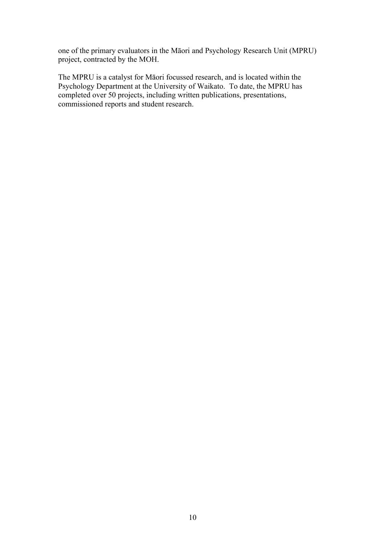one of the primary evaluators in the Māori and Psychology Research Unit (MPRU) project, contracted by the MOH.

The MPRU is a catalyst for Māori focussed research, and is located within the Psychology Department at the University of Waikato. To date, the MPRU has completed over 50 projects, including written publications, presentations, commissioned reports and student research.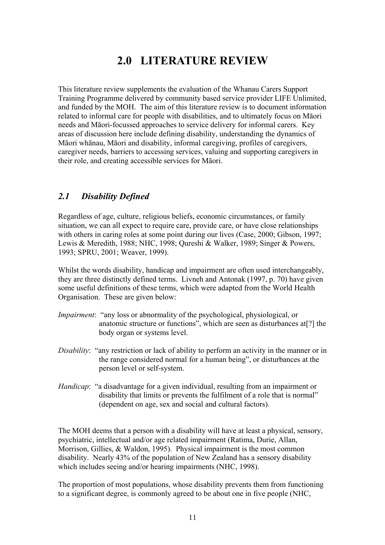# **2.0 LITERATURE REVIEW**

This literature review supplements the evaluation of the Whanau Carers Support Training Programme delivered by community based service provider LIFE Unlimited, and funded by the MOH. The aim of this literature review is to document information related to informal care for people with disabilities, and to ultimately focus on Māori needs and Māori-focussed approaches to service delivery for informal carers. Key areas of discussion here include defining disability, understanding the dynamics of Māori whānau, Māori and disability, informal caregiving, profiles of caregivers, caregiver needs, barriers to accessing services, valuing and supporting caregivers in their role, and creating accessible services for Māori.

# *2.1 Disability Defined*

Regardless of age, culture, religious beliefs, economic circumstances, or family situation, we can all expect to require care, provide care, or have close relationships with others in caring roles at some point during our lives (Case, 2000; Gibson, 1997; Lewis & Meredith, 1988; NHC, 1998; Qureshi & Walker, 1989; Singer & Powers, 1993; SPRU, 2001; Weaver, 1999).

Whilst the words disability, handicap and impairment are often used interchangeably, they are three distinctly defined terms. Livneh and Antonak (1997, p. 70) have given some useful definitions of these terms, which were adapted from the World Health Organisation. These are given below:

- *Impairment*: "any loss or abnormality of the psychological, physiological, or anatomic structure or functions", which are seen as disturbances at[?] the body organ or systems level.
- *Disability*: "any restriction or lack of ability to perform an activity in the manner or in the range considered normal for a human being", or disturbances at the person level or self-system.
- *Handicap*: "a disadvantage for a given individual, resulting from an impairment or disability that limits or prevents the fulfilment of a role that is normal" (dependent on age, sex and social and cultural factors).

The MOH deems that a person with a disability will have at least a physical, sensory, psychiatric, intellectual and/or age related impairment (Ratima, Durie, Allan, Morrison, Gillies, & Waldon, 1995). Physical impairment is the most common disability. Nearly 43% of the population of New Zealand has a sensory disability which includes seeing and/or hearing impairments (NHC, 1998).

The proportion of most populations, whose disability prevents them from functioning to a significant degree, is commonly agreed to be about one in five people (NHC,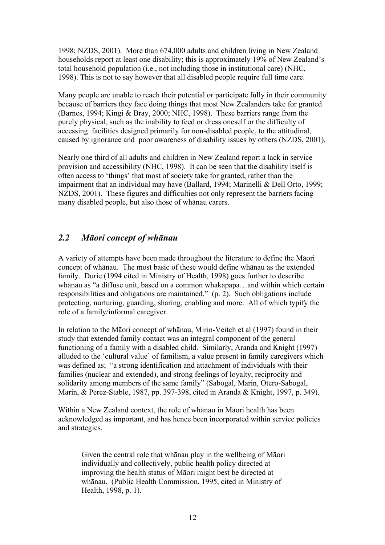1998; NZDS, 2001). More than 674,000 adults and children living in New Zealand households report at least one disability; this is approximately 19% of New Zealand's total household population (i.e., not including those in institutional care) (NHC, 1998). This is not to say however that all disabled people require full time care.

Many people are unable to reach their potential or participate fully in their community because of barriers they face doing things that most New Zealanders take for granted (Barnes, 1994; Kingi & Bray, 2000; NHC, 1998). These barriers range from the purely physical, such as the inability to feed or dress oneself or the difficulty of accessing facilities designed primarily for non-disabled people, to the attitudinal, caused by ignorance and poor awareness of disability issues by others (NZDS, 2001).

Nearly one third of all adults and children in New Zealand report a lack in service provision and accessibility (NHC, 1998). It can be seen that the disability itself is often access to 'things' that most of society take for granted, rather than the impairment that an individual may have (Ballard, 1994; Marinelli & Dell Orto, 1999; NZDS, 2001). These figures and difficulties not only represent the barriers facing many disabled people, but also those of whānau carers.

# *2.2 Māori concept of whānau*

A variety of attempts have been made throughout the literature to define the Māori concept of whānau. The most basic of these would define whānau as the extended family. Durie (1994 cited in Ministry of Health, 1998) goes further to describe whānau as "a diffuse unit, based on a common whakapapa…and within which certain responsibilities and obligations are maintained." (p. 2). Such obligations include protecting, nurturing, guarding, sharing, enabling and more. All of which typify the role of a family/informal caregiver.

In relation to the Māori concept of whānau, Mirin-Veitch et al (1997) found in their study that extended family contact was an integral component of the general functioning of a family with a disabled child. Similarly, Aranda and Knight (1997) alluded to the 'cultural value' of familism, a value present in family caregivers which was defined as; "a strong identification and attachment of individuals with their families (nuclear and extended), and strong feelings of loyalty, reciprocity and solidarity among members of the same family" (Sabogal, Marin, Otero-Sabogal, Marin, & Perez-Stable, 1987, pp. 397-398, cited in Aranda & Knight, 1997, p. 349).

Within a New Zealand context, the role of whānau in Māori health has been acknowledged as important, and has hence been incorporated within service policies and strategies.

Given the central role that whānau play in the wellbeing of Māori individually and collectively, public health policy directed at improving the health status of Māori might best be directed at whānau. (Public Health Commission, 1995, cited in Ministry of Health, 1998, p. 1).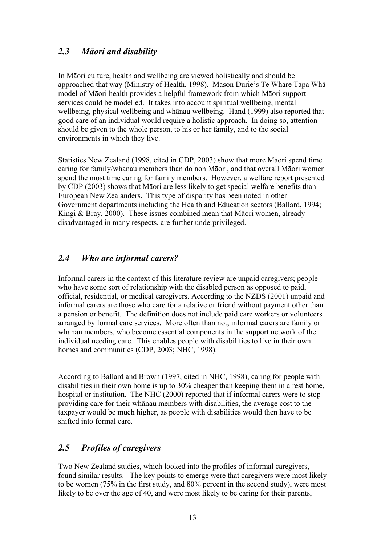# *2.3 Māori and disability*

In Māori culture, health and wellbeing are viewed holistically and should be approached that way (Ministry of Health, 1998). Mason Durie's Te Whare Tapa Whä model of Māori health provides a helpful framework from which Māori support services could be modelled. It takes into account spiritual wellbeing, mental wellbeing, physical wellbeing and whānau wellbeing. Hand (1999) also reported that good care of an individual would require a holistic approach. In doing so, attention should be given to the whole person, to his or her family, and to the social environments in which they live.

Statistics New Zealand (1998, cited in CDP, 2003) show that more Māori spend time caring for family/whanau members than do non Māori, and that overall Māori women spend the most time caring for family members. However, a welfare report presented by CDP (2003) shows that Māori are less likely to get special welfare benefits than European New Zealanders. This type of disparity has been noted in other Government departments including the Health and Education sectors (Ballard, 1994; Kingi & Bray, 2000). These issues combined mean that Māori women, already disadvantaged in many respects, are further underprivileged.

# *2.4 Who are informal carers?*

Informal carers in the context of this literature review are unpaid caregivers; people who have some sort of relationship with the disabled person as opposed to paid, official, residential, or medical caregivers. According to the NZDS (2001) unpaid and informal carers are those who care for a relative or friend without payment other than a pension or benefit. The definition does not include paid care workers or volunteers arranged by formal care services. More often than not, informal carers are family or whānau members, who become essential components in the support network of the individual needing care. This enables people with disabilities to live in their own homes and communities (CDP, 2003; NHC, 1998).

According to Ballard and Brown (1997, cited in NHC, 1998), caring for people with disabilities in their own home is up to 30% cheaper than keeping them in a rest home, hospital or institution. The NHC (2000) reported that if informal carers were to stop providing care for their whānau members with disabilities, the average cost to the taxpayer would be much higher, as people with disabilities would then have to be shifted into formal care.

# *2.5 Profiles of caregivers*

Two New Zealand studies, which looked into the profiles of informal caregivers, found similar results. The key points to emerge were that caregivers were most likely to be women (75% in the first study, and 80% percent in the second study), were most likely to be over the age of 40, and were most likely to be caring for their parents,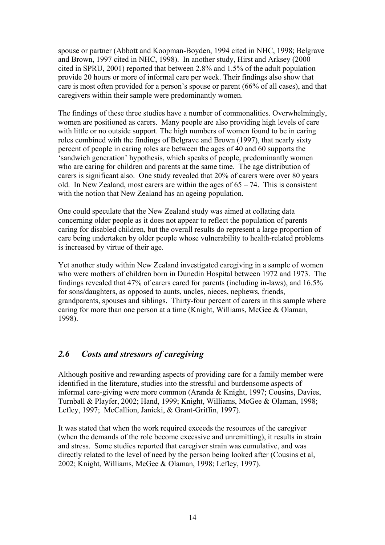spouse or partner (Abbott and Koopman-Boyden, 1994 cited in NHC, 1998; Belgrave and Brown, 1997 cited in NHC, 1998). In another study, Hirst and Arksey (2000 cited in SPRU, 2001) reported that between 2.8% and 1.5% of the adult population provide 20 hours or more of informal care per week. Their findings also show that care is most often provided for a person's spouse or parent (66% of all cases), and that caregivers within their sample were predominantly women.

The findings of these three studies have a number of commonalities. Overwhelmingly, women are positioned as carers. Many people are also providing high levels of care with little or no outside support. The high numbers of women found to be in caring roles combined with the findings of Belgrave and Brown (1997), that nearly sixty percent of people in caring roles are between the ages of 40 and 60 supports the 'sandwich generation' hypothesis, which speaks of people, predominantly women who are caring for children and parents at the same time. The age distribution of carers is significant also. One study revealed that 20% of carers were over 80 years old. In New Zealand, most carers are within the ages of  $65 - 74$ . This is consistent with the notion that New Zealand has an ageing population.

One could speculate that the New Zealand study was aimed at collating data concerning older people as it does not appear to reflect the population of parents caring for disabled children, but the overall results do represent a large proportion of care being undertaken by older people whose vulnerability to health-related problems is increased by virtue of their age.

Yet another study within New Zealand investigated caregiving in a sample of women who were mothers of children born in Dunedin Hospital between 1972 and 1973. The findings revealed that 47% of carers cared for parents (including in-laws), and 16.5% for sons/daughters, as opposed to aunts, uncles, nieces, nephews, friends, grandparents, spouses and siblings. Thirty-four percent of carers in this sample where caring for more than one person at a time (Knight, Williams, McGee & Olaman, 1998).

# *2.6 Costs and stressors of caregiving*

Although positive and rewarding aspects of providing care for a family member were identified in the literature, studies into the stressful and burdensome aspects of informal care-giving were more common (Aranda & Knight, 1997; Cousins, Davies, Turnball & Playfer, 2002; Hand, 1999; Knight, Williams, McGee & Olaman, 1998; Lefley, 1997; McCallion, Janicki, & Grant-Griffin, 1997).

It was stated that when the work required exceeds the resources of the caregiver (when the demands of the role become excessive and unremitting), it results in strain and stress. Some studies reported that caregiver strain was cumulative, and was directly related to the level of need by the person being looked after (Cousins et al, 2002; Knight, Williams, McGee & Olaman, 1998; Lefley, 1997).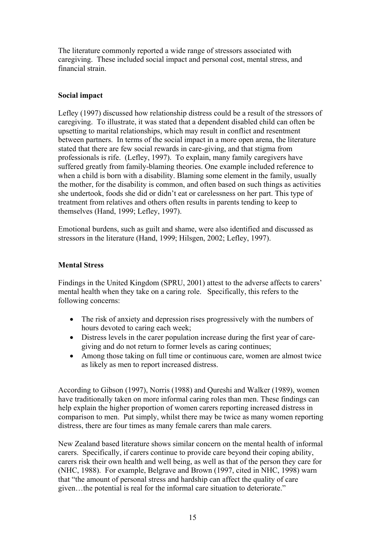The literature commonly reported a wide range of stressors associated with caregiving. These included social impact and personal cost, mental stress, and financial strain.

#### **Social impact**

Lefley (1997) discussed how relationship distress could be a result of the stressors of caregiving. To illustrate, it was stated that a dependent disabled child can often be upsetting to marital relationships, which may result in conflict and resentment between partners. In terms of the social impact in a more open arena, the literature stated that there are few social rewards in care-giving, and that stigma from professionals is rife. (Lefley, 1997). To explain, many family caregivers have suffered greatly from family-blaming theories. One example included reference to when a child is born with a disability. Blaming some element in the family, usually the mother, for the disability is common, and often based on such things as activities she undertook, foods she did or didn't eat or carelessness on her part. This type of treatment from relatives and others often results in parents tending to keep to themselves (Hand, 1999; Lefley, 1997).

Emotional burdens, such as guilt and shame, were also identified and discussed as stressors in the literature (Hand, 1999; Hilsgen, 2002; Lefley, 1997).

#### **Mental Stress**

Findings in the United Kingdom (SPRU, 2001) attest to the adverse affects to carers' mental health when they take on a caring role. Specifically, this refers to the following concerns:

- The risk of anxiety and depression rises progressively with the numbers of hours devoted to caring each week;
- Distress levels in the carer population increase during the first year of caregiving and do not return to former levels as caring continues;
- Among those taking on full time or continuous care, women are almost twice as likely as men to report increased distress.

According to Gibson (1997), Norris (1988) and Qureshi and Walker (1989), women have traditionally taken on more informal caring roles than men. These findings can help explain the higher proportion of women carers reporting increased distress in comparison to men. Put simply, whilst there may be twice as many women reporting distress, there are four times as many female carers than male carers.

New Zealand based literature shows similar concern on the mental health of informal carers. Specifically, if carers continue to provide care beyond their coping ability, carers risk their own health and well being, as well as that of the person they care for (NHC, 1988). For example, Belgrave and Brown (1997, cited in NHC, 1998) warn that "the amount of personal stress and hardship can affect the quality of care given…the potential is real for the informal care situation to deteriorate."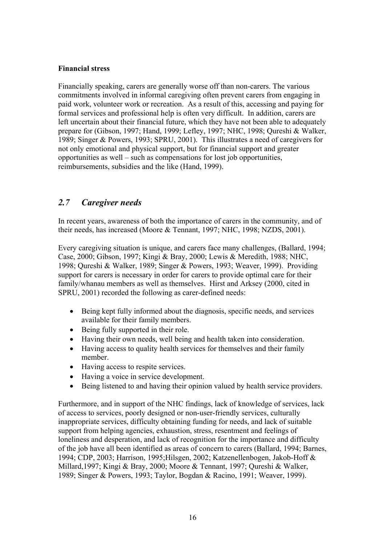#### **Financial stress**

Financially speaking, carers are generally worse off than non-carers. The various commitments involved in informal caregiving often prevent carers from engaging in paid work, volunteer work or recreation. As a result of this, accessing and paying for formal services and professional help is often very difficult. In addition, carers are left uncertain about their financial future, which they have not been able to adequately prepare for (Gibson, 1997; Hand, 1999; Lefley, 1997; NHC, 1998; Qureshi & Walker, 1989; Singer & Powers, 1993; SPRU, 2001). This illustrates a need of caregivers for not only emotional and physical support, but for financial support and greater opportunities as well – such as compensations for lost job opportunities, reimbursements, subsidies and the like (Hand, 1999).

### *2.7 Caregiver needs*

In recent years, awareness of both the importance of carers in the community, and of their needs, has increased (Moore & Tennant, 1997; NHC, 1998; NZDS, 2001).

Every caregiving situation is unique, and carers face many challenges, (Ballard, 1994; Case, 2000; Gibson, 1997; Kingi & Bray, 2000; Lewis & Meredith, 1988; NHC, 1998; Qureshi & Walker, 1989; Singer & Powers, 1993; Weaver, 1999). Providing support for carers is necessary in order for carers to provide optimal care for their family/whanau members as well as themselves. Hirst and Arksey (2000, cited in SPRU, 2001) recorded the following as carer-defined needs:

- Being kept fully informed about the diagnosis, specific needs, and services available for their family members.
- Being fully supported in their role.
- Having their own needs, well being and health taken into consideration.
- Having access to quality health services for themselves and their family member.
- Having access to respite services.
- Having a voice in service development.
- Being listened to and having their opinion valued by health service providers.

Furthermore, and in support of the NHC findings, lack of knowledge of services, lack of access to services, poorly designed or non-user-friendly services, culturally inappropriate services, difficulty obtaining funding for needs, and lack of suitable support from helping agencies, exhaustion, stress, resentment and feelings of loneliness and desperation, and lack of recognition for the importance and difficulty of the job have all been identified as areas of concern to carers (Ballard, 1994; Barnes, 1994; CDP, 2003; Harrison, 1995;Hilsgen, 2002; Katzenellenbogen, Jakob-Hoff & Millard,1997; Kingi & Bray, 2000; Moore & Tennant, 1997; Qureshi & Walker, 1989; Singer & Powers, 1993; Taylor, Bogdan & Racino, 1991; Weaver, 1999).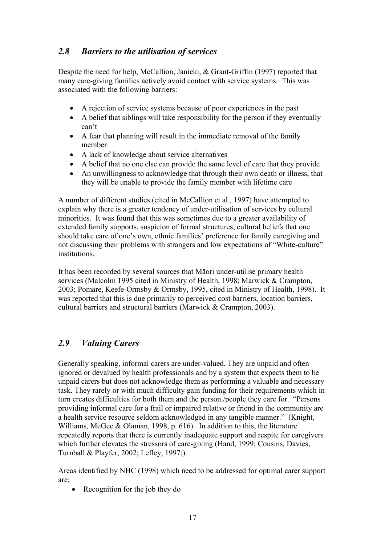# *2.8 Barriers to the utilisation of services*

Despite the need for help, McCallion, Janicki, & Grant-Griffin (1997) reported that many care-giving families actively avoid contact with service systems. This was associated with the following barriers:

- A rejection of service systems because of poor experiences in the past
- A belief that siblings will take responsibility for the person if they eventually can't
- A fear that planning will result in the immediate removal of the family member
- A lack of knowledge about service alternatives
- A belief that no one else can provide the same level of care that they provide
- An unwillingness to acknowledge that through their own death or illness, that they will be unable to provide the family member with lifetime care

A number of different studies (cited in McCallion et al., 1997) have attempted to explain why there is a greater tendency of under-utilisation of services by cultural minorities. It was found that this was sometimes due to a greater availability of extended family supports, suspicion of formal structures, cultural beliefs that one should take care of one's own, ethnic families' preference for family caregiving and not discussing their problems with strangers and low expectations of "White-culture" institutions.

It has been recorded by several sources that Māori under-utilise primary health services (Malcolm 1995 cited in Ministry of Health, 1998; Marwick & Crampton, 2003; Pomare, Keefe-Ormsby & Ormsby, 1995, cited in Ministry of Health, 1998). It was reported that this is due primarily to perceived cost barriers, location barriers, cultural barriers and structural barriers (Marwick & Crampton, 2003).

# *2.9 Valuing Carers*

Generally speaking, informal carers are under-valued. They are unpaid and often ignored or devalued by health professionals and by a system that expects them to be unpaid carers but does not acknowledge them as performing a valuable and necessary task. They rarely or with much difficulty gain funding for their requirements which in turn creates difficulties for both them and the person./people they care for. "Persons providing informal care for a frail or impaired relative or friend in the community are a health service resource seldom acknowledged in any tangible manner." (Knight, Williams, McGee & Olaman, 1998, p. 616). In addition to this, the literature repeatedly reports that there is currently inadequate support and respite for caregivers which further elevates the stressors of care-giving (Hand, 1999; Cousins, Davies, Turnball & Playfer, 2002; Lefley, 1997;).

Areas identified by NHC (1998) which need to be addressed for optimal carer support are;

• Recognition for the job they do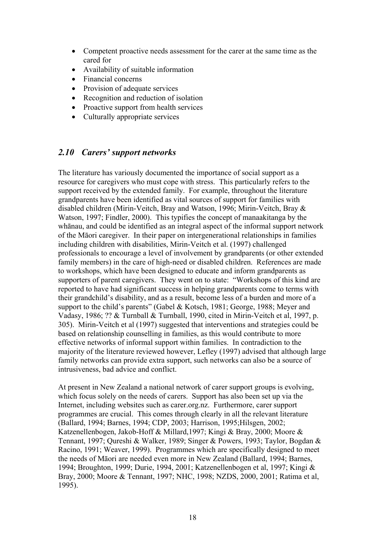- Competent proactive needs assessment for the carer at the same time as the cared for
- Availability of suitable information
- Financial concerns
- Provision of adequate services
- Recognition and reduction of isolation
- Proactive support from health services
- Culturally appropriate services

#### *2.10 Carers' support networks*

The literature has variously documented the importance of social support as a resource for caregivers who must cope with stress. This particularly refers to the support received by the extended family. For example, throughout the literature grandparents have been identified as vital sources of support for families with disabled children (Mirin-Veitch, Bray and Watson, 1996; Mirin-Veitch, Bray & Watson, 1997; Findler, 2000). This typifies the concept of manaakitanga by the whānau, and could be identified as an integral aspect of the informal support network of the Māori caregiver. In their paper on intergenerational relationships in families including children with disabilities, Mirin-Veitch et al. (1997) challenged professionals to encourage a level of involvement by grandparents (or other extended family members) in the care of high-need or disabled children. References are made to workshops, which have been designed to educate and inform grandparents as supporters of parent caregivers. They went on to state: "Workshops of this kind are reported to have had significant success in helping grandparents come to terms with their grandchild's disability, and as a result, become less of a burden and more of a support to the child's parents" (Gabel & Kotsch, 1981; George, 1988; Meyer and Vadasy, 1986; ?? & Turnball & Turnball, 1990, cited in Mirin-Veitch et al, 1997, p. 305). Mirin-Veitch et al (1997) suggested that interventions and strategies could be based on relationship counselling in families, as this would contribute to more effective networks of informal support within families. In contradiction to the majority of the literature reviewed however, Lefley (1997) advised that although large family networks can provide extra support, such networks can also be a source of intrusiveness, bad advice and conflict.

At present in New Zealand a national network of carer support groups is evolving, which focus solely on the needs of carers. Support has also been set up via the Internet, including websites such as carer.org.nz. Furthermore, carer support programmes are crucial. This comes through clearly in all the relevant literature (Ballard, 1994; Barnes, 1994; CDP, 2003; Harrison, 1995;Hilsgen, 2002; Katzenellenbogen, Jakob-Hoff & Millard,1997; Kingi & Bray, 2000; Moore & Tennant, 1997; Qureshi & Walker, 1989; Singer & Powers, 1993; Taylor, Bogdan & Racino, 1991; Weaver, 1999). Programmes which are specifically designed to meet the needs of Māori are needed even more in New Zealand (Ballard, 1994; Barnes, 1994; Broughton, 1999; Durie, 1994, 2001; Katzenellenbogen et al, 1997; Kingi & Bray, 2000; Moore & Tennant, 1997; NHC, 1998; NZDS, 2000, 2001; Ratima et al, 1995).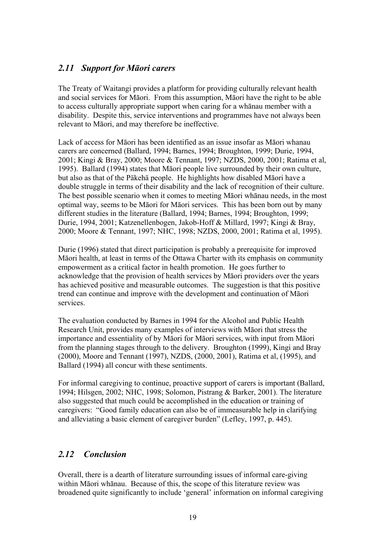# *2.11 Support for Māori carers*

The Treaty of Waitangi provides a platform for providing culturally relevant health and social services for Māori. From this assumption, Māori have the right to be able to access culturally appropriate support when caring for a whānau member with a disability. Despite this, service interventions and programmes have not always been relevant to Māori, and may therefore be ineffective.

Lack of access for Māori has been identified as an issue insofar as Māori whanau carers are concerned (Ballard, 1994; Barnes, 1994; Broughton, 1999; Durie, 1994, 2001; Kingi & Bray, 2000; Moore & Tennant, 1997; NZDS, 2000, 2001; Ratima et al, 1995). Ballard (1994) states that Māori people live surrounded by their own culture, but also as that of the Päkehä people. He highlights how disabled Māori have a double struggle in terms of their disability and the lack of recognition of their culture. The best possible scenario when it comes to meeting Māori whānau needs, in the most optimal way, seems to be Māori for Māori services. This has been born out by many different studies in the literature (Ballard, 1994; Barnes, 1994; Broughton, 1999; Durie, 1994, 2001; Katzenellenbogen, Jakob-Hoff & Millard, 1997; Kingi & Bray, 2000; Moore & Tennant, 1997; NHC, 1998; NZDS, 2000, 2001; Ratima et al, 1995).

Durie (1996) stated that direct participation is probably a prerequisite for improved Māori health, at least in terms of the Ottawa Charter with its emphasis on community empowerment as a critical factor in health promotion. He goes further to acknowledge that the provision of health services by Māori providers over the years has achieved positive and measurable outcomes. The suggestion is that this positive trend can continue and improve with the development and continuation of Māori services.

The evaluation conducted by Barnes in 1994 for the Alcohol and Public Health Research Unit, provides many examples of interviews with Māori that stress the importance and essentiality of by Māori for Māori services, with input from Māori from the planning stages through to the delivery. Broughton (1999), Kingi and Bray (2000), Moore and Tennant (1997), NZDS, (2000, 2001), Ratima et al, (1995), and Ballard (1994) all concur with these sentiments.

For informal caregiving to continue, proactive support of carers is important (Ballard, 1994; Hilsgen, 2002; NHC, 1998; Solomon, Pistrang & Barker, 2001). The literature also suggested that much could be accomplished in the education or training of caregivers: "Good family education can also be of immeasurable help in clarifying and alleviating a basic element of caregiver burden" (Lefley, 1997, p. 445).

# *2.12 Conclusion*

Overall, there is a dearth of literature surrounding issues of informal care-giving within Māori whānau. Because of this, the scope of this literature review was broadened quite significantly to include 'general' information on informal caregiving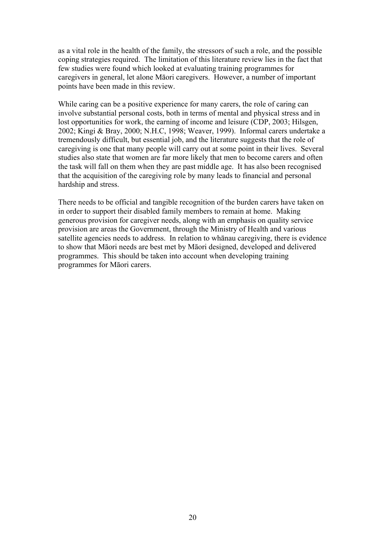as a vital role in the health of the family, the stressors of such a role, and the possible coping strategies required. The limitation of this literature review lies in the fact that few studies were found which looked at evaluating training programmes for caregivers in general, let alone Māori caregivers. However, a number of important points have been made in this review.

While caring can be a positive experience for many carers, the role of caring can involve substantial personal costs, both in terms of mental and physical stress and in lost opportunities for work, the earning of income and leisure (CDP, 2003; Hilsgen, 2002; Kingi & Bray, 2000; N.H.C, 1998; Weaver, 1999). Informal carers undertake a tremendously difficult, but essential job, and the literature suggests that the role of caregiving is one that many people will carry out at some point in their lives. Several studies also state that women are far more likely that men to become carers and often the task will fall on them when they are past middle age. It has also been recognised that the acquisition of the caregiving role by many leads to financial and personal hardship and stress.

There needs to be official and tangible recognition of the burden carers have taken on in order to support their disabled family members to remain at home. Making generous provision for caregiver needs, along with an emphasis on quality service provision are areas the Government, through the Ministry of Health and various satellite agencies needs to address. In relation to whānau caregiving, there is evidence to show that Māori needs are best met by Māori designed, developed and delivered programmes. This should be taken into account when developing training programmes for Māori carers.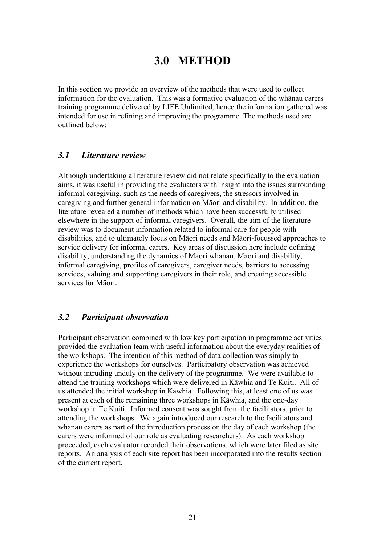# **3.0 METHOD**

In this section we provide an overview of the methods that were used to collect information for the evaluation. This was a formative evaluation of the whānau carers training programme delivered by LIFE Unlimited, hence the information gathered was intended for use in refining and improving the programme. The methods used are outlined below:

#### *3.1 Literature review*

Although undertaking a literature review did not relate specifically to the evaluation aims, it was useful in providing the evaluators with insight into the issues surrounding informal caregiving, such as the needs of caregivers, the stressors involved in caregiving and further general information on Māori and disability. In addition, the literature revealed a number of methods which have been successfully utilised elsewhere in the support of informal caregivers. Overall, the aim of the literature review was to document information related to informal care for people with disabilities, and to ultimately focus on Māori needs and Māori-focussed approaches to service delivery for informal carers. Key areas of discussion here include defining disability, understanding the dynamics of Māori whānau, Māori and disability, informal caregiving, profiles of caregivers, caregiver needs, barriers to accessing services, valuing and supporting caregivers in their role, and creating accessible services for Māori.

#### *3.2 Participant observation*

Participant observation combined with low key participation in programme activities provided the evaluation team with useful information about the everyday realities of the workshops. The intention of this method of data collection was simply to experience the workshops for ourselves. Participatory observation was achieved without intruding unduly on the delivery of the programme. We were available to attend the training workshops which were delivered in Kāwhia and Te Kuiti. All of us attended the initial workshop in Kāwhia. Following this, at least one of us was present at each of the remaining three workshops in Kāwhia, and the one-day workshop in Te Kuiti. Informed consent was sought from the facilitators, prior to attending the workshops. We again introduced our research to the facilitators and whānau carers as part of the introduction process on the day of each workshop (the carers were informed of our role as evaluating researchers). As each workshop proceeded, each evaluator recorded their observations, which were later filed as site reports. An analysis of each site report has been incorporated into the results section of the current report.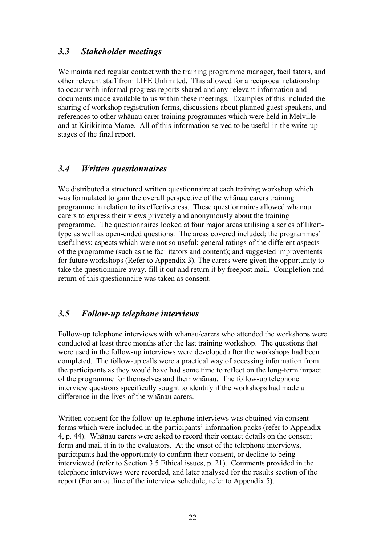# *3.3 Stakeholder meetings*

We maintained regular contact with the training programme manager, facilitators, and other relevant staff from LIFE Unlimited. This allowed for a reciprocal relationship to occur with informal progress reports shared and any relevant information and documents made available to us within these meetings. Examples of this included the sharing of workshop registration forms, discussions about planned guest speakers, and references to other whānau carer training programmes which were held in Melville and at Kirikiriroa Marae. All of this information served to be useful in the write-up stages of the final report.

### *3.4 Written questionnaires*

We distributed a structured written questionnaire at each training workshop which was formulated to gain the overall perspective of the whānau carers training programme in relation to its effectiveness. These questionnaires allowed whānau carers to express their views privately and anonymously about the training programme. The questionnaires looked at four major areas utilising a series of likerttype as well as open-ended questions. The areas covered included; the programmes' usefulness; aspects which were not so useful; general ratings of the different aspects of the programme (such as the facilitators and content); and suggested improvements for future workshops (Refer to Appendix 3). The carers were given the opportunity to take the questionnaire away, fill it out and return it by freepost mail. Completion and return of this questionnaire was taken as consent.

# *3.5 Follow-up telephone interviews*

Follow-up telephone interviews with whānau/carers who attended the workshops were conducted at least three months after the last training workshop. The questions that were used in the follow-up interviews were developed after the workshops had been completed. The follow-up calls were a practical way of accessing information from the participants as they would have had some time to reflect on the long-term impact of the programme for themselves and their whānau. The follow-up telephone interview questions specifically sought to identify if the workshops had made a difference in the lives of the whānau carers.

Written consent for the follow-up telephone interviews was obtained via consent forms which were included in the participants' information packs (refer to Appendix 4, p. 44). Whānau carers were asked to record their contact details on the consent form and mail it in to the evaluators. At the onset of the telephone interviews, participants had the opportunity to confirm their consent, or decline to being interviewed (refer to Section 3.5 Ethical issues, p. 21). Comments provided in the telephone interviews were recorded, and later analysed for the results section of the report (For an outline of the interview schedule, refer to Appendix 5).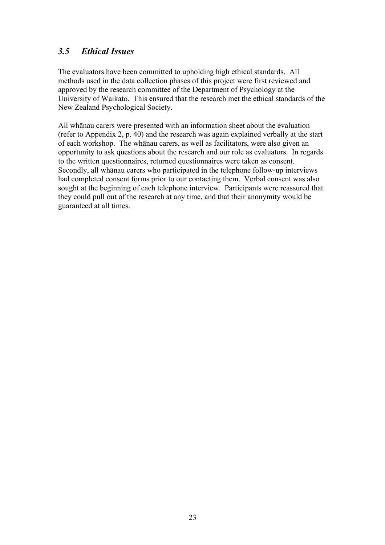# *3.5 Ethical Issues*

The evaluators have been committed to upholding high ethical standards. All methods used in the data collection phases of this project were first reviewed and approved by the research committee of the Department of Psychology at the University of Waikato. This ensured that the research met the ethical standards of the New Zealand Psychological Society.

All whānau carers were presented with an information sheet about the evaluation (refer to Appendix 2, p. 40) and the research was again explained verbally at the start of each workshop. The whānau carers, as well as facilitators, were also given an opportunity to ask questions about the research and our role as evaluators. In regards to the written questionnaires, returned questionnaires were taken as consent. Secondly, all whānau carers who participated in the telephone follow-up interviews had completed consent forms prior to our contacting them. Verbal consent was also sought at the beginning of each telephone interview. Participants were reassured that they could pull out of the research at any time, and that their anonymity would be guaranteed at all times.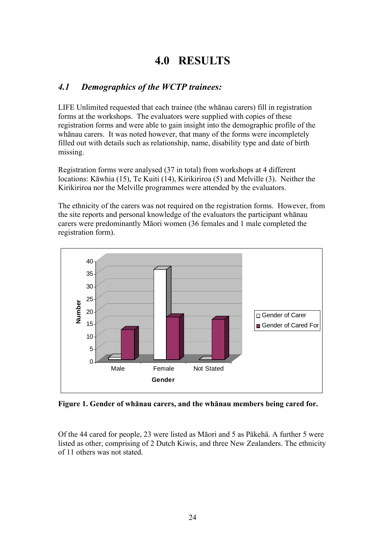# **4.0 RESULTS**

# *4.1 Demographics of the WCTP trainees:*

LIFE Unlimited requested that each trainee (the whānau carers) fill in registration forms at the workshops. The evaluators were supplied with copies of these registration forms and were able to gain insight into the demographic profile of the whānau carers. It was noted however, that many of the forms were incompletely filled out with details such as relationship, name, disability type and date of birth missing.

Registration forms were analysed (37 in total) from workshops at 4 different locations: Kāwhia (15), Te Kuiti (14), Kirikiriroa (5) and Melville (3). Neither the Kirikiriroa nor the Melville programmes were attended by the evaluators.

The ethnicity of the carers was not required on the registration forms. However, from the site reports and personal knowledge of the evaluators the participant whānau carers were predominantly Māori women (36 females and 1 male completed the registration form).



**Figure 1. Gender of whānau carers, and the whānau members being cared for.** 

Of the 44 cared for people, 23 were listed as Māori and 5 as Päkehä. A further 5 were listed as other, comprising of 2 Dutch Kiwis, and three New Zealanders. The ethnicity of 11 others was not stated.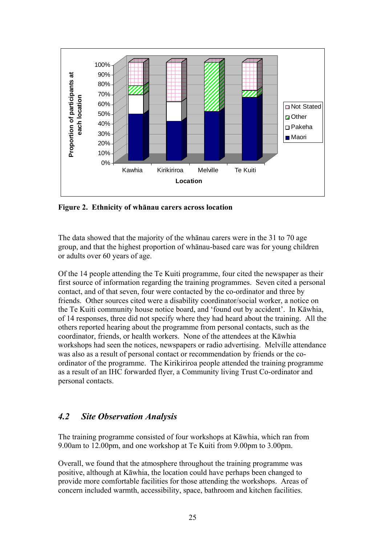

**Figure 2. Ethnicity of whānau carers across location** 

The data showed that the majority of the whānau carers were in the 31 to 70 age group, and that the highest proportion of whānau-based care was for young children or adults over 60 years of age.

Of the 14 people attending the Te Kuiti programme, four cited the newspaper as their first source of information regarding the training programmes. Seven cited a personal contact, and of that seven, four were contacted by the co-ordinator and three by friends. Other sources cited were a disability coordinator/social worker, a notice on the Te Kuiti community house notice board, and 'found out by accident'. In Kāwhia, of 14 responses, three did not specify where they had heard about the training. All the others reported hearing about the programme from personal contacts, such as the coordinator, friends, or health workers. None of the attendees at the Kāwhia workshops had seen the notices, newspapers or radio advertising. Melville attendance was also as a result of personal contact or recommendation by friends or the coordinator of the programme. The Kirikiriroa people attended the training programme as a result of an IHC forwarded flyer, a Community living Trust Co-ordinator and personal contacts.

# *4.2 Site Observation Analysis*

The training programme consisted of four workshops at Kāwhia, which ran from 9.00am to 12.00pm, and one workshop at Te Kuiti from 9.00pm to 3.00pm.

Overall, we found that the atmosphere throughout the training programme was positive, although at Kāwhia, the location could have perhaps been changed to provide more comfortable facilities for those attending the workshops. Areas of concern included warmth, accessibility, space, bathroom and kitchen facilities.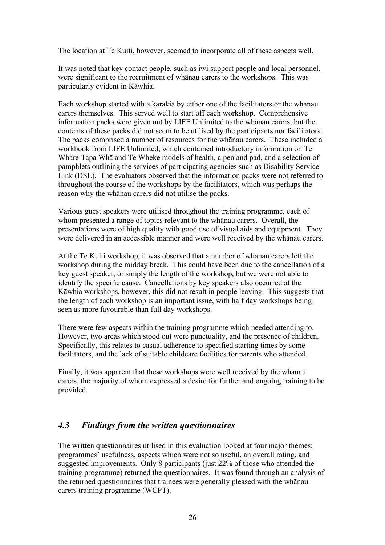The location at Te Kuiti, however, seemed to incorporate all of these aspects well.

It was noted that key contact people, such as iwi support people and local personnel, were significant to the recruitment of whānau carers to the workshops. This was particularly evident in Kāwhia.

Each workshop started with a karakia by either one of the facilitators or the whānau carers themselves. This served well to start off each workshop. Comprehensive information packs were given out by LIFE Unlimited to the whānau carers, but the contents of these packs did not seem to be utilised by the participants nor facilitators. The packs comprised a number of resources for the whānau carers. These included a workbook from LIFE Unlimited, which contained introductory information on Te Whare Tapa Whā and Te Wheke models of health, a pen and pad, and a selection of pamphlets outlining the services of participating agencies such as Disability Service Link (DSL). The evaluators observed that the information packs were not referred to throughout the course of the workshops by the facilitators, which was perhaps the reason why the whānau carers did not utilise the packs.

Various guest speakers were utilised throughout the training programme, each of whom presented a range of topics relevant to the whānau carers. Overall, the presentations were of high quality with good use of visual aids and equipment. They were delivered in an accessible manner and were well received by the whānau carers.

At the Te Kuiti workshop, it was observed that a number of whānau carers left the workshop during the midday break. This could have been due to the cancellation of a key guest speaker, or simply the length of the workshop, but we were not able to identify the specific cause. Cancellations by key speakers also occurred at the Kāwhia workshops, however, this did not result in people leaving. This suggests that the length of each workshop is an important issue, with half day workshops being seen as more favourable than full day workshops.

There were few aspects within the training programme which needed attending to. However, two areas which stood out were punctuality, and the presence of children. Specifically, this relates to casual adherence to specified starting times by some facilitators, and the lack of suitable childcare facilities for parents who attended.

Finally, it was apparent that these workshops were well received by the whānau carers, the majority of whom expressed a desire for further and ongoing training to be provided.

#### *4.3 Findings from the written questionnaires*

The written questionnaires utilised in this evaluation looked at four major themes: programmes' usefulness, aspects which were not so useful, an overall rating, and suggested improvements. Only 8 participants (just 22% of those who attended the training programme) returned the questionnaires. It was found through an analysis of the returned questionnaires that trainees were generally pleased with the whānau carers training programme (WCPT).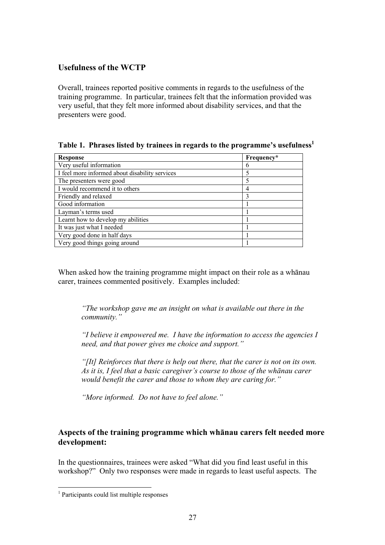#### **Usefulness of the WCTP**

Overall, trainees reported positive comments in regards to the usefulness of the training programme. In particular, trainees felt that the information provided was very useful, that they felt more informed about disability services, and that the presenters were good.

|  |  |  |  |  |  | Table 1. Phrases listed by trainees in regards to the programme's usefulness <sup>1</sup> |
|--|--|--|--|--|--|-------------------------------------------------------------------------------------------|
|--|--|--|--|--|--|-------------------------------------------------------------------------------------------|

| <b>Response</b>                                | Frequency* |
|------------------------------------------------|------------|
| Very useful information                        | 6          |
| I feel more informed about disability services |            |
| The presenters were good                       | 5          |
| I would recommend it to others                 | 4          |
| Friendly and relaxed                           | 3          |
| Good information                               |            |
| Layman's terms used                            |            |
| Learnt how to develop my abilities             |            |
| It was just what I needed                      |            |
| Very good done in half days                    |            |
| Very good things going around                  |            |

When asked how the training programme might impact on their role as a whānau carer, trainees commented positively. Examples included:

*"The workshop gave me an insight on what is available out there in the community."* 

*"I believe it empowered me. I have the information to access the agencies I need, and that power gives me choice and support."* 

*"[It] Reinforces that there is help out there, that the carer is not on its own. As it is, I feel that a basic caregiver's course to those of the whānau carer would benefit the carer and those to whom they are caring for."* 

*"More informed. Do not have to feel alone."* 

#### **Aspects of the training programme which whānau carers felt needed more development:**

In the questionnaires, trainees were asked "What did you find least useful in this workshop?" Only two responses were made in regards to least useful aspects. The

 $\overline{a}$ 

<sup>1</sup> Participants could list multiple responses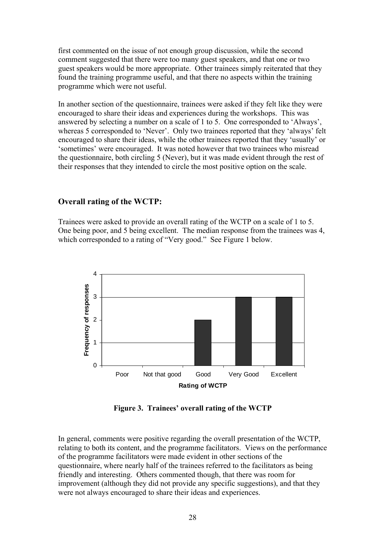first commented on the issue of not enough group discussion, while the second comment suggested that there were too many guest speakers, and that one or two guest speakers would be more appropriate. Other trainees simply reiterated that they found the training programme useful, and that there no aspects within the training programme which were not useful.

In another section of the questionnaire, trainees were asked if they felt like they were encouraged to share their ideas and experiences during the workshops. This was answered by selecting a number on a scale of 1 to 5. One corresponded to 'Always', whereas 5 corresponded to 'Never'. Only two trainees reported that they 'always' felt encouraged to share their ideas, while the other trainees reported that they 'usually' or 'sometimes' were encouraged. It was noted however that two trainees who misread the questionnaire, both circling 5 (Never), but it was made evident through the rest of their responses that they intended to circle the most positive option on the scale.

#### **Overall rating of the WCTP:**

Trainees were asked to provide an overall rating of the WCTP on a scale of 1 to 5. One being poor, and 5 being excellent. The median response from the trainees was 4, which corresponded to a rating of "Very good." See Figure 1 below.



**Figure 3. Trainees' overall rating of the WCTP** 

In general, comments were positive regarding the overall presentation of the WCTP, relating to both its content, and the programme facilitators. Views on the performance of the programme facilitators were made evident in other sections of the questionnaire, where nearly half of the trainees referred to the facilitators as being friendly and interesting. Others commented though, that there was room for improvement (although they did not provide any specific suggestions), and that they were not always encouraged to share their ideas and experiences.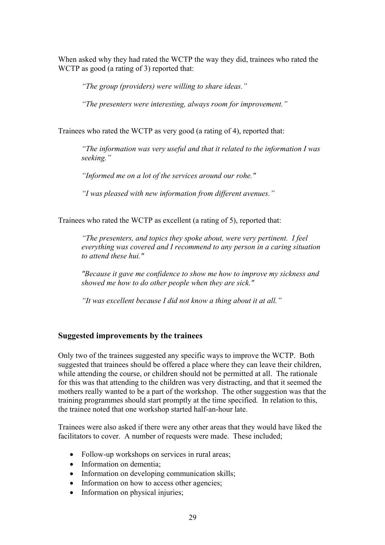When asked why they had rated the WCTP the way they did, trainees who rated the WCTP as good (a rating of 3) reported that:

*"The group (providers) were willing to share ideas."* 

*"The presenters were interesting, always room for improvement."* 

Trainees who rated the WCTP as very good (a rating of 4), reported that:

*"The information was very useful and that it related to the information I was seeking."* 

*"Informed me on a lot of the services around our rohe."* 

*"I was pleased with new information from different avenues."* 

Trainees who rated the WCTP as excellent (a rating of 5), reported that:

*"The presenters, and topics they spoke about, were very pertinent. I feel everything was covered and I recommend to any person in a caring situation to attend these hui."* 

*"Because it gave me confidence to show me how to improve my sickness and showed me how to do other people when they are sick."* 

*"It was excellent because I did not know a thing about it at all."* 

#### **Suggested improvements by the trainees**

Only two of the trainees suggested any specific ways to improve the WCTP. Both suggested that trainees should be offered a place where they can leave their children, while attending the course, or children should not be permitted at all. The rationale for this was that attending to the children was very distracting, and that it seemed the mothers really wanted to be a part of the workshop. The other suggestion was that the training programmes should start promptly at the time specified. In relation to this, the trainee noted that one workshop started half-an-hour late.

Trainees were also asked if there were any other areas that they would have liked the facilitators to cover. A number of requests were made. These included;

- Follow-up workshops on services in rural areas;
- Information on dementia:
- Information on developing communication skills;
- Information on how to access other agencies;
- Information on physical injuries: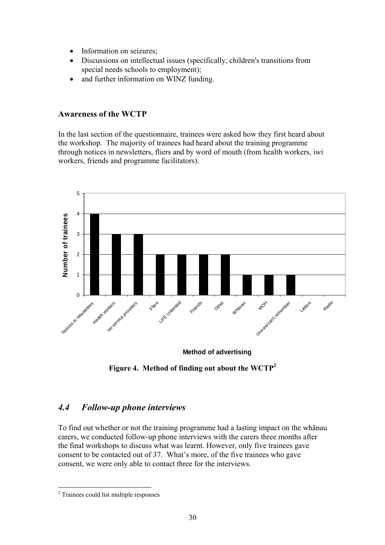- Information on seizures;
- Discussions on intellectual issues (specifically, children's transitions from special needs schools to employment);
- and further information on WINZ funding.

#### **Awareness of the WCTP**

In the last section of the questionnaire, trainees were asked how they first heard about the workshop. The majority of trainees had heard about the training programme through notices in newsletters, fliers and by word of mouth (from health workers, iwi workers, friends and programme facilitators).



**Figure 4. Method of finding out about the WCTP<sup>2</sup>**

# *4.4 Follow-up phone interviews*

To find out whether or not the training programme had a lasting impact on the whānau carers, we conducted follow-up phone interviews with the carers three months after the final workshops to discuss what was learnt. However, only five trainees gave consent to be contacted out of 37. What's more, of the five trainees who gave consent, we were only able to contact three for the interviews.

 $\overline{a}$ 

<sup>&</sup>lt;sup>2</sup> Trainees could list multiple responses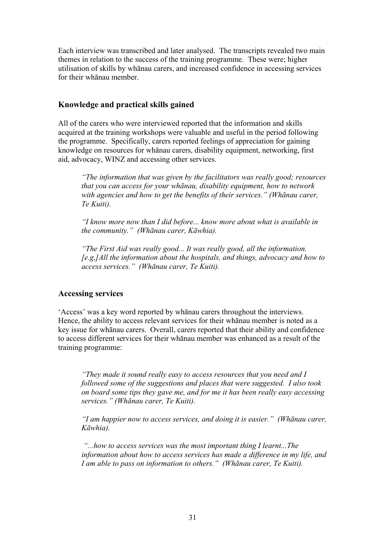Each interview was transcribed and later analysed. The transcripts revealed two main themes in relation to the success of the training programme. These were; higher utilisation of skills by whānau carers, and increased confidence in accessing services for their whānau member.

#### **Knowledge and practical skills gained**

All of the carers who were interviewed reported that the information and skills acquired at the training workshops were valuable and useful in the period following the programme. Specifically, carers reported feelings of appreciation for gaining knowledge on resources for whānau carers, disability equipment, networking, first aid, advocacy, WINZ and accessing other services.

*"The information that was given by the facilitators was really good; resources that you can access for your whānau, disability equipment, how to network with agencies and how to get the benefits of their services." (Whānau carer, Te Kuiti).*

*"I know more now than I did before... know more about what is available in the community." (Whānau carer, Kāwhia).* 

*"The First Aid was really good... It was really good, all the information. [e.g,]All the information about the hospitals, and things, advocacy and how to access services." (Whānau carer, Te Kuiti).* 

#### **Accessing services**

'Access' was a key word reported by whānau carers throughout the interviews. Hence, the ability to access relevant services for their whānau member is noted as a key issue for whānau carers. Overall, carers reported that their ability and confidence to access different services for their whānau member was enhanced as a result of the training programme:

*"They made it sound really easy to access resources that you need and I followed some of the suggestions and places that were suggested. I also took on board some tips they gave me, and for me it has been really easy accessing services." (Whānau carer, Te Kuiti).* 

*"I am happier now to access services, and doing it is easier." (Whānau carer, Kāwhia).* 

*"...how to access services was the most important thing I learnt...The information about how to access services has made a difference in my life, and I am able to pass on information to others." (Whānau carer, Te Kuiti).*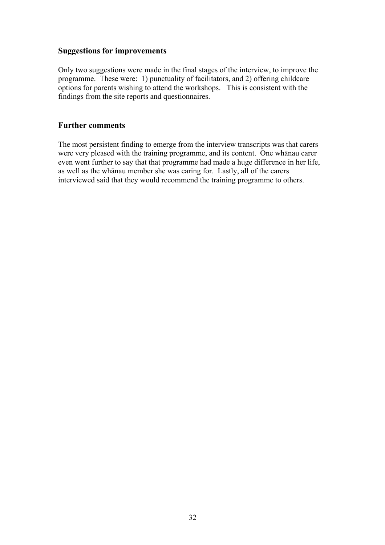#### **Suggestions for improvements**

Only two suggestions were made in the final stages of the interview, to improve the programme. These were: 1) punctuality of facilitators, and 2) offering childcare options for parents wishing to attend the workshops. This is consistent with the findings from the site reports and questionnaires.

#### **Further comments**

The most persistent finding to emerge from the interview transcripts was that carers were very pleased with the training programme, and its content. One whānau carer even went further to say that that programme had made a huge difference in her life, as well as the whānau member she was caring for. Lastly, all of the carers interviewed said that they would recommend the training programme to others.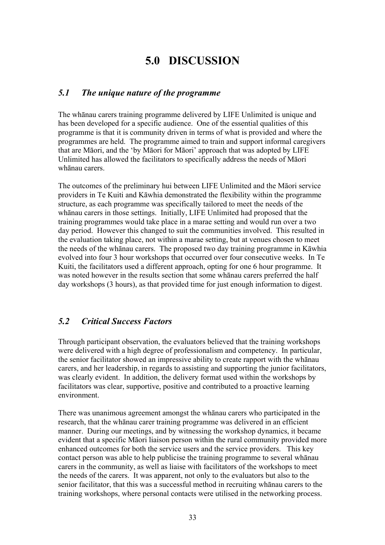# **5.0 DISCUSSION**

#### *5.1 The unique nature of the programme*

The whānau carers training programme delivered by LIFE Unlimited is unique and has been developed for a specific audience. One of the essential qualities of this programme is that it is community driven in terms of what is provided and where the programmes are held. The programme aimed to train and support informal caregivers that are Māori, and the 'by Māori for Māori' approach that was adopted by LIFE Unlimited has allowed the facilitators to specifically address the needs of Māori whānau carers.

The outcomes of the preliminary hui between LIFE Unlimited and the Māori service providers in Te Kuiti and Kāwhia demonstrated the flexibility within the programme structure, as each programme was specifically tailored to meet the needs of the whānau carers in those settings. Initially, LIFE Unlimited had proposed that the training programmes would take place in a marae setting and would run over a two day period. However this changed to suit the communities involved. This resulted in the evaluation taking place, not within a marae setting, but at venues chosen to meet the needs of the whānau carers. The proposed two day training programme in Kāwhia evolved into four 3 hour workshops that occurred over four consecutive weeks. In Te Kuiti, the facilitators used a different approach, opting for one 6 hour programme. It was noted however in the results section that some whānau carers preferred the half day workshops (3 hours), as that provided time for just enough information to digest.

#### *5.2 Critical Success Factors*

Through participant observation, the evaluators believed that the training workshops were delivered with a high degree of professionalism and competency. In particular, the senior facilitator showed an impressive ability to create rapport with the whānau carers, and her leadership, in regards to assisting and supporting the junior facilitators, was clearly evident. In addition, the delivery format used within the workshops by facilitators was clear, supportive, positive and contributed to a proactive learning environment.

There was unanimous agreement amongst the whānau carers who participated in the research, that the whānau carer training programme was delivered in an efficient manner. During our meetings, and by witnessing the workshop dynamics, it became evident that a specific Māori liaison person within the rural community provided more enhanced outcomes for both the service users and the service providers. This key contact person was able to help publicise the training programme to several whānau carers in the community, as well as liaise with facilitators of the workshops to meet the needs of the carers. It was apparent, not only to the evaluators but also to the senior facilitator, that this was a successful method in recruiting whānau carers to the training workshops, where personal contacts were utilised in the networking process.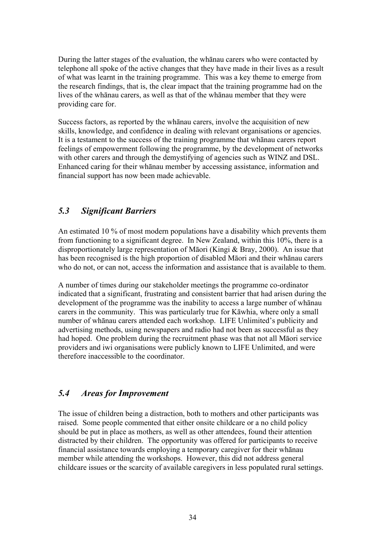During the latter stages of the evaluation, the whānau carers who were contacted by telephone all spoke of the active changes that they have made in their lives as a result of what was learnt in the training programme. This was a key theme to emerge from the research findings, that is, the clear impact that the training programme had on the lives of the whānau carers, as well as that of the whānau member that they were providing care for.

Success factors, as reported by the whānau carers, involve the acquisition of new skills, knowledge, and confidence in dealing with relevant organisations or agencies. It is a testament to the success of the training programme that whānau carers report feelings of empowerment following the programme, by the development of networks with other carers and through the demystifying of agencies such as WINZ and DSL. Enhanced caring for their whānau member by accessing assistance, information and financial support has now been made achievable.

# *5.3 Significant Barriers*

An estimated 10 % of most modern populations have a disability which prevents them from functioning to a significant degree. In New Zealand, within this 10%, there is a disproportionately large representation of Māori (Kingi & Bray, 2000). An issue that has been recognised is the high proportion of disabled Māori and their whānau carers who do not, or can not, access the information and assistance that is available to them.

A number of times during our stakeholder meetings the programme co-ordinator indicated that a significant, frustrating and consistent barrier that had arisen during the development of the programme was the inability to access a large number of whānau carers in the community. This was particularly true for Kāwhia, where only a small number of whānau carers attended each workshop. LIFE Unlimited's publicity and advertising methods, using newspapers and radio had not been as successful as they had hoped. One problem during the recruitment phase was that not all Māori service providers and iwi organisations were publicly known to LIFE Unlimited, and were therefore inaccessible to the coordinator.

# *5.4 Areas for Improvement*

The issue of children being a distraction, both to mothers and other participants was raised. Some people commented that either onsite childcare or a no child policy should be put in place as mothers, as well as other attendees, found their attention distracted by their children. The opportunity was offered for participants to receive financial assistance towards employing a temporary caregiver for their whānau member while attending the workshops. However, this did not address general childcare issues or the scarcity of available caregivers in less populated rural settings.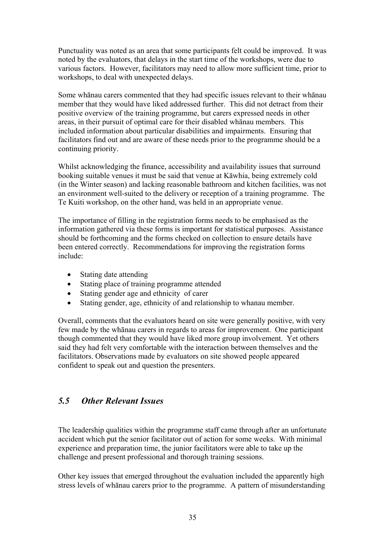Punctuality was noted as an area that some participants felt could be improved. It was noted by the evaluators, that delays in the start time of the workshops, were due to various factors. However, facilitators may need to allow more sufficient time, prior to workshops, to deal with unexpected delays.

Some whānau carers commented that they had specific issues relevant to their whānau member that they would have liked addressed further. This did not detract from their positive overview of the training programme, but carers expressed needs in other areas, in their pursuit of optimal care for their disabled whānau members. This included information about particular disabilities and impairments. Ensuring that facilitators find out and are aware of these needs prior to the programme should be a continuing priority.

Whilst acknowledging the finance, accessibility and availability issues that surround booking suitable venues it must be said that venue at Kāwhia, being extremely cold (in the Winter season) and lacking reasonable bathroom and kitchen facilities, was not an environment well-suited to the delivery or reception of a training programme. The Te Kuiti workshop, on the other hand, was held in an appropriate venue.

The importance of filling in the registration forms needs to be emphasised as the information gathered via these forms is important for statistical purposes. Assistance should be forthcoming and the forms checked on collection to ensure details have been entered correctly. Recommendations for improving the registration forms include:

- Stating date attending
- Stating place of training programme attended
- Stating gender age and ethnicity of carer
- Stating gender, age, ethnicity of and relationship to whanau member.

Overall, comments that the evaluators heard on site were generally positive, with very few made by the whānau carers in regards to areas for improvement. One participant though commented that they would have liked more group involvement. Yet others said they had felt very comfortable with the interaction between themselves and the facilitators. Observations made by evaluators on site showed people appeared confident to speak out and question the presenters.

# *5.5 Other Relevant Issues*

The leadership qualities within the programme staff came through after an unfortunate accident which put the senior facilitator out of action for some weeks. With minimal experience and preparation time, the junior facilitators were able to take up the challenge and present professional and thorough training sessions.

Other key issues that emerged throughout the evaluation included the apparently high stress levels of whānau carers prior to the programme. A pattern of misunderstanding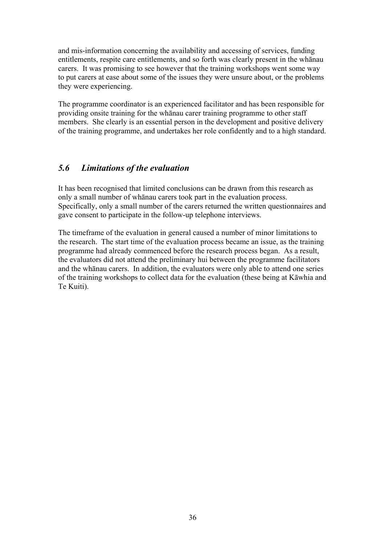and mis-information concerning the availability and accessing of services, funding entitlements, respite care entitlements, and so forth was clearly present in the whānau carers. It was promising to see however that the training workshops went some way to put carers at ease about some of the issues they were unsure about, or the problems they were experiencing.

The programme coordinator is an experienced facilitator and has been responsible for providing onsite training for the whānau carer training programme to other staff members. She clearly is an essential person in the development and positive delivery of the training programme, and undertakes her role confidently and to a high standard.

### *5.6 Limitations of the evaluation*

It has been recognised that limited conclusions can be drawn from this research as only a small number of whānau carers took part in the evaluation process. Specifically, only a small number of the carers returned the written questionnaires and gave consent to participate in the follow-up telephone interviews.

The timeframe of the evaluation in general caused a number of minor limitations to the research. The start time of the evaluation process became an issue, as the training programme had already commenced before the research process began. As a result, the evaluators did not attend the preliminary hui between the programme facilitators and the whānau carers. In addition, the evaluators were only able to attend one series of the training workshops to collect data for the evaluation (these being at Kāwhia and Te Kuiti).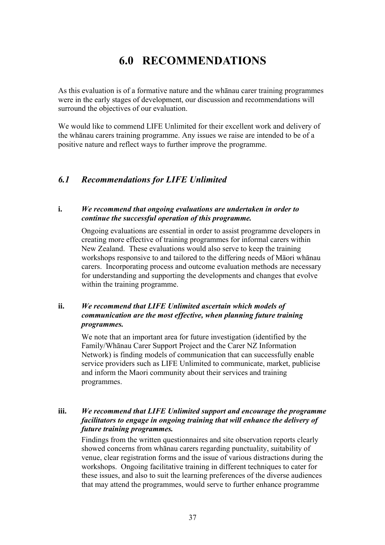# **6.0 RECOMMENDATIONS**

As this evaluation is of a formative nature and the whānau carer training programmes were in the early stages of development, our discussion and recommendations will surround the objectives of our evaluation.

We would like to commend LIFE Unlimited for their excellent work and delivery of the whānau carers training programme. Any issues we raise are intended to be of a positive nature and reflect ways to further improve the programme.

#### *6.1 Recommendations for LIFE Unlimited*

#### **i.** *We recommend that ongoing evaluations are undertaken in order to continue the successful operation of this programme.*

Ongoing evaluations are essential in order to assist programme developers in creating more effective of training programmes for informal carers within New Zealand. These evaluations would also serve to keep the training workshops responsive to and tailored to the differing needs of Māori whānau carers. Incorporating process and outcome evaluation methods are necessary for understanding and supporting the developments and changes that evolve within the training programme.

#### **ii.** *We recommend that LIFE Unlimited ascertain which models of communication are the most effective, when planning future training programmes.*

We note that an important area for future investigation (identified by the Family/Whānau Carer Support Project and the Carer NZ Information Network) is finding models of communication that can successfully enable service providers such as LIFE Unlimited to communicate, market, publicise and inform the Maori community about their services and training programmes.

#### **iii.** *We recommend that LIFE Unlimited support and encourage the programme facilitators to engage in ongoing training that will enhance the delivery of future training programmes.*

Findings from the written questionnaires and site observation reports clearly showed concerns from whānau carers regarding punctuality, suitability of venue, clear registration forms and the issue of various distractions during the workshops. Ongoing facilitative training in different techniques to cater for these issues, and also to suit the learning preferences of the diverse audiences that may attend the programmes, would serve to further enhance programme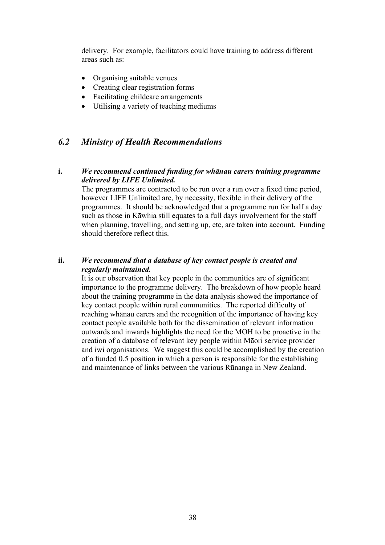delivery. For example, facilitators could have training to address different areas such as:

- Organising suitable venues
- Creating clear registration forms
- Facilitating childcare arrangements
- Utilising a variety of teaching mediums

### *6.2 Ministry of Health Recommendations*

#### **i.** *We recommend continued funding for whānau carers training programme delivered by LIFE Unlimited.*

The programmes are contracted to be run over a run over a fixed time period, however LIFE Unlimited are, by necessity, flexible in their delivery of the programmes. It should be acknowledged that a programme run for half a day such as those in Kāwhia still equates to a full days involvement for the staff when planning, travelling, and setting up, etc, are taken into account. Funding should therefore reflect this.

#### **ii.** *We recommend that a database of key contact people is created and regularly maintained.*

It is our observation that key people in the communities are of significant importance to the programme delivery. The breakdown of how people heard about the training programme in the data analysis showed the importance of key contact people within rural communities. The reported difficulty of reaching whānau carers and the recognition of the importance of having key contact people available both for the dissemination of relevant information outwards and inwards highlights the need for the MOH to be proactive in the creation of a database of relevant key people within Māori service provider and iwi organisations. We suggest this could be accomplished by the creation of a funded 0.5 position in which a person is responsible for the establishing and maintenance of links between the various Rūnanga in New Zealand.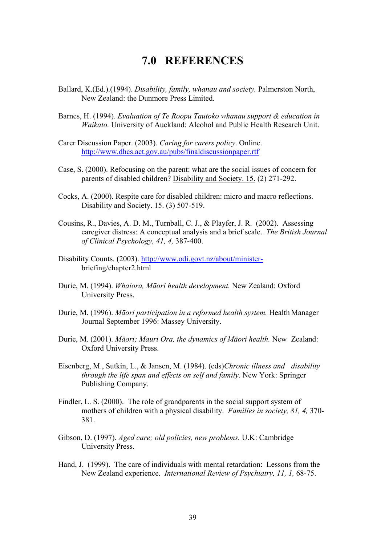# **7.0 REFERENCES**

- Ballard, K.(Ed.).(1994). *Disability, family, whanau and society.* Palmerston North, New Zealand: the Dunmore Press Limited.
- Barnes, H. (1994). *Evaluation of Te Roopu Tautoko whanau support & education in Waikato.* University of Auckland: Alcohol and Public Health Research Unit.
- Carer Discussion Paper. (2003). *Caring for carers policy*. Online. http://www.dhcs.act.gov.au/pubs/finaldiscussionpaper.rtf
- Case, S. (2000). Refocusing on the parent: what are the social issues of concern for parents of disabled children? Disability and Society. 15. (2) 271-292.
- Cocks, A. (2000). Respite care for disabled children: micro and macro reflections. Disability and Society. 15, (3) 507-519.
- Cousins, R., Davies, A. D. M., Turnball, C. J., & Playfer, J. R. (2002). Assessing caregiver distress: A conceptual analysis and a brief scale. *The British Journal of Clinical Psychology, 41, 4,* 387-400.
- Disability Counts. (2003). http://www.odi.govt.nz/about/ministerbriefing/chapter2.html
- Durie, M. (1994). *Whaiora, Māori health development.* New Zealand: Oxford University Press.
- Durie, M. (1996). *Māori participation in a reformed health system.* Health Manager Journal September 1996: Massey University.
- Durie, M. (2001). *Māori; Mauri Ora, the dynamics of Māori health.* New Zealand: Oxford University Press.
- Eisenberg, M., Sutkin, L., & Jansen, M. (1984). (eds)*Chronic illness and disability through the life span and effects on self and family.* New York: Springer Publishing Company.
- Findler, L. S. (2000). The role of grandparents in the social support system of mothers of children with a physical disability. *Families in society, 81, 4,* 370- 381.
- Gibson, D. (1997). *Aged care; old policies, new problems.* U.K: Cambridge University Press.
- Hand, J. (1999). The care of individuals with mental retardation: Lessons from the New Zealand experience. *International Review of Psychiatry, 11, 1,* 68-75.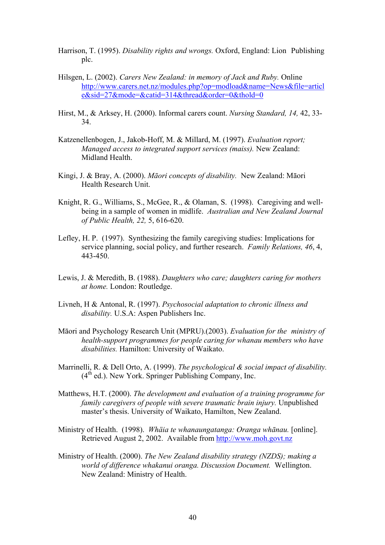- Harrison, T. (1995). *Disability rights and wrongs.* Oxford, England: Lion Publishing plc.
- Hilsgen, L. (2002). *Carers New Zealand: in memory of Jack and Ruby.* Online http://www.carers.net.nz/modules.php?op=modload&name=News&file=articl e&sid=27&mode=&catid=314&thread&order=0&thold=0
- Hirst, M., & Arksey, H. (2000). Informal carers count. *Nursing Standard, 14,* 42, 33- 34.
- Katzenellenbogen, J., Jakob-Hoff, M. & Millard, M. (1997). *Evaluation report; Managed access to integrated support services (maiss).* New Zealand: Midland Health.
- Kingi, J. & Bray, A. (2000). *Māori concepts of disability.* New Zealand: Māori Health Research Unit.
- Knight, R. G., Williams, S., McGee, R., & Olaman, S. (1998). Caregiving and wellbeing in a sample of women in midlife. *Australian and New Zealand Journal of Public Health, 22,* 5, 616-620.
- Lefley, H. P. (1997). Synthesizing the family caregiving studies: Implications for service planning, social policy, and further research. *Family Relations, 46*, 4, 443-450.
- Lewis, J. & Meredith, B. (1988). *Daughters who care; daughters caring for mothers at home.* London: Routledge.
- Livneh, H & Antonal, R. (1997). *Psychosocial adaptation to chronic illness and disability.* U.S.A: Aspen Publishers Inc.
- Māori and Psychology Research Unit (MPRU).(2003). *Evaluation for the ministry of health-support programmes for people caring for whanau members who have disabilities.* Hamilton: University of Waikato.
- Marrinelli, R. & Dell Orto, A. (1999). *The psychological & social impact of disability.*   $(4<sup>th</sup>$  ed.). New York. Springer Publishing Company, Inc.
- Matthews, H.T. (2000). *The development and evaluation of a training programme for family caregivers of people with severe traumatic brain injury.* Unpublished master's thesis. University of Waikato, Hamilton, New Zealand.
- Ministry of Health. (1998). *Whäia te whanaungatanga: Oranga whānau.* [online]. Retrieved August 2, 2002. Available from http://www.moh.govt.nz
- Ministry of Health. (2000). *The New Zealand disability strategy (NZDS); making a world of difference whakanui oranga. Discussion Document.* Wellington. New Zealand: Ministry of Health.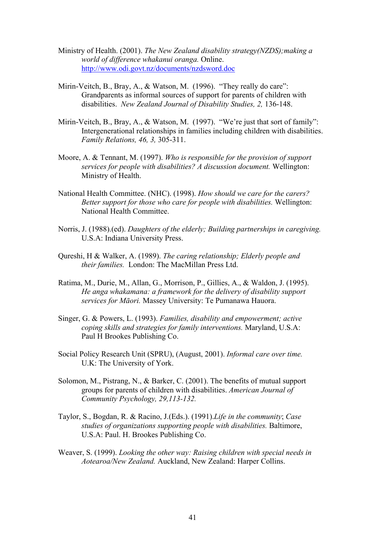- Ministry of Health. (2001). *The New Zealand disability strategy(NZDS);making a world of difference whakanui oranga.* Online. http://www.odi.govt.nz/documents/nzdsword.doc
- Mirin-Veitch, B., Bray, A., & Watson, M. (1996). "They really do care": Grandparents as informal sources of support for parents of children with disabilities. *New Zealand Journal of Disability Studies, 2,* 136-148.
- Mirin-Veitch, B., Bray, A., & Watson, M. (1997). "We're just that sort of family": Intergenerational relationships in families including children with disabilities. *Family Relations, 46, 3,* 305-311.
- Moore, A. & Tennant, M. (1997). *Who is responsible for the provision of support services for people with disabilities? A discussion document.* Wellington: Ministry of Health.
- National Health Committee. (NHC). (1998). *How should we care for the carers? Better support for those who care for people with disabilities.* Wellington: National Health Committee.
- Norris, J. (1988).(ed). *Daughters of the elderly; Building partnerships in caregiving.* U.S.A: Indiana University Press.
- Qureshi, H & Walker, A. (1989). *The caring relationship; Elderly people and their families.* London: The MacMillan Press Ltd.
- Ratima, M., Durie, M., Allan, G., Morrison, P., Gillies, A., & Waldon, J. (1995).  *He anga whakamana: a framework for the delivery of disability support services for Māori.* Massey University: Te Pumanawa Hauora.
- Singer, G. & Powers, L. (1993). *Families, disability and empowerment; active coping skills and strategies for family interventions.* Maryland, U.S.A: Paul H Brookes Publishing Co.
- Social Policy Research Unit (SPRU), (August, 2001). *Informal care over time.*  U.K: The University of York.
- Solomon, M., Pistrang, N., & Barker, C. (2001). The benefits of mutual support groups for parents of children with disabilities. *American Journal of Community Psychology, 29,113-132.*
- Taylor, S., Bogdan, R. & Racino, J.(Eds.). (1991).*Life in the community*; *Case studies of organizations supporting people with disabilities.* Baltimore, U.S.A: Paul. H. Brookes Publishing Co.
- Weaver, S. (1999). *Looking the other way: Raising children with special needs in Aotearoa/New Zealand.* Auckland, New Zealand: Harper Collins.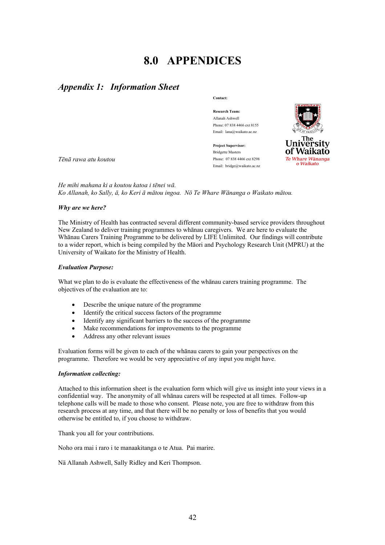# **8.0 APPENDICES**

#### *Appendix 1: Information Sheet*

**Contact:** 

**Research Team:**  Allanah Ashwell Phone: 07 838 4466 ext 8155 Email: lana@waikato.ac.nz

**Project Supervisor:**  Bridgette Masters Phone: 07 838 4466 ext 8298 Email: bridge@waikato.ac.nz



*Tēnā rawa atu koutou*

*He mihi mahana ki a koutou katoa i tēnei wā. Ko Allanah, ko Sally, ā, ko Keri ā mātou ingoa. Nō Te Whare Wānanga o Waikato mātou.* 

#### *Why are we here?*

The Ministry of Health has contracted several different community-based service providers throughout New Zealand to deliver training programmes to whānau caregivers. We are here to evaluate the Whānau Carers Training Programme to be delivered by LIFE Unlimited. Our findings will contribute to a wider report, which is being compiled by the Māori and Psychology Research Unit (MPRU) at the University of Waikato for the Ministry of Health.

#### *Evaluation Purpose:*

What we plan to do is evaluate the effectiveness of the whānau carers training programme. The objectives of the evaluation are to:

- Describe the unique nature of the programme
- Identify the critical success factors of the programme
- Identify any significant barriers to the success of the programme
- Make recommendations for improvements to the programme
- Address any other relevant issues

Evaluation forms will be given to each of the whānau carers to gain your perspectives on the programme. Therefore we would be very appreciative of any input you might have.

#### *Information collecting:*

Attached to this information sheet is the evaluation form which will give us insight into your views in a confidential way. The anonymity of all whānau carers will be respected at all times. Follow-up telephone calls will be made to those who consent. Please note, you are free to withdraw from this research process at any time, and that there will be no penalty or loss of benefits that you would otherwise be entitled to, if you choose to withdraw.

Thank you all for your contributions.

Noho ora mai i raro i te manaakitanga o te Atua. Pai marire.

Nä Allanah Ashwell, Sally Ridley and Keri Thompson.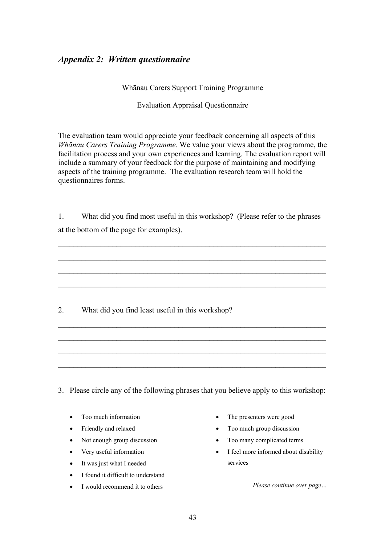### *Appendix 2: Written questionnaire*

Whānau Carers Support Training Programme

Evaluation Appraisal Questionnaire

The evaluation team would appreciate your feedback concerning all aspects of this *Whānau Carers Training Programme.* We value your views about the programme, the facilitation process and your own experiences and learning. The evaluation report will include a summary of your feedback for the purpose of maintaining and modifying aspects of the training programme. The evaluation research team will hold the questionnaires forms.

1. What did you find most useful in this workshop? (Please refer to the phrases at the bottom of the page for examples).

 $\_$  , and the contribution of the contribution of  $\mathcal{L}_\mathcal{A}$  , and the contribution of  $\mathcal{L}_\mathcal{A}$ 

 $\_$  , and the contribution of the contribution of  $\mathcal{L}_\mathcal{A}$  , and the contribution of  $\mathcal{L}_\mathcal{A}$ 

 $\mathcal{L}_\text{max} = \frac{1}{2} \sum_{i=1}^n \mathcal{L}_\text{max}(\mathbf{z}_i - \mathbf{z}_i)$ 

 $\_$  , and the contribution of the contribution of  $\mathcal{L}_\mathcal{A}$  , and the contribution of  $\mathcal{L}_\mathcal{A}$ 

 $\_$  , and the contribution of the contribution of  $\mathcal{L}_\mathcal{A}$  , and the contribution of  $\mathcal{L}_\mathcal{A}$ 

 $\_$  , and the contribution of the contribution of  $\mathcal{L}_\mathcal{A}$  , and the contribution of  $\mathcal{L}_\mathcal{A}$ 

 $\mathcal{L}_\text{max} = \frac{1}{2} \sum_{i=1}^n \mathcal{L}_\text{max}(\mathbf{z}_i - \mathbf{z}_i)$ 

 $\_$  , and the contribution of the contribution of  $\mathcal{L}_\mathcal{A}$  , and the contribution of  $\mathcal{L}_\mathcal{A}$ 

2. What did you find least useful in this workshop?

3. Please circle any of the following phrases that you believe apply to this workshop:

- Too much information
- Friendly and relaxed
- Not enough group discussion
- Very useful information
- It was just what I needed
- I found it difficult to understand
- I would recommend it to others
- The presenters were good
- Too much group discussion
- Too many complicated terms
- I feel more informed about disability services

*Please continue over page…*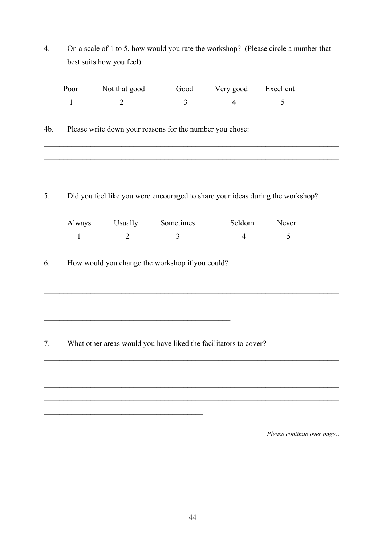| 4.  |              | On a scale of 1 to 5, how would you rate the workshop? (Please circle a number that<br>best suits how you feel): |                                                                                |                |           |  |  |  |
|-----|--------------|------------------------------------------------------------------------------------------------------------------|--------------------------------------------------------------------------------|----------------|-----------|--|--|--|
|     | Poor         | Not that good                                                                                                    | Good                                                                           | Very good      | Excellent |  |  |  |
|     | $\mathbf{1}$ | $\overline{2}$                                                                                                   | 3                                                                              | $\overline{4}$ | 5         |  |  |  |
| 4b. |              |                                                                                                                  | Please write down your reasons for the number you chose:                       |                |           |  |  |  |
| 5.  |              |                                                                                                                  | Did you feel like you were encouraged to share your ideas during the workshop? |                |           |  |  |  |
|     | Always       | Usually                                                                                                          | Sometimes                                                                      | Seldom         | Never     |  |  |  |
|     | 1            | $\overline{2}$                                                                                                   | 3                                                                              | $\overline{4}$ | 5         |  |  |  |
| 6.  |              |                                                                                                                  | How would you change the workshop if you could?                                |                |           |  |  |  |
|     |              |                                                                                                                  |                                                                                |                |           |  |  |  |
|     |              |                                                                                                                  |                                                                                |                |           |  |  |  |
|     |              |                                                                                                                  |                                                                                |                |           |  |  |  |
| 7.  |              |                                                                                                                  | What other areas would you have liked the facilitators to cover?               |                |           |  |  |  |
|     |              |                                                                                                                  |                                                                                |                |           |  |  |  |
|     |              |                                                                                                                  |                                                                                |                |           |  |  |  |
|     |              |                                                                                                                  |                                                                                |                |           |  |  |  |
|     |              |                                                                                                                  |                                                                                |                |           |  |  |  |

*Please continue over page…*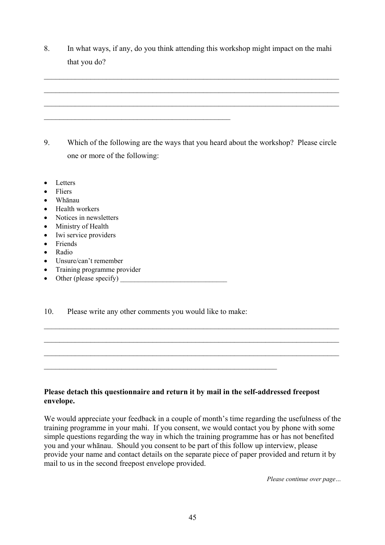8. In what ways, if any, do you think attending this workshop might impact on the mahi that you do?

 $\mathcal{L}_\mathcal{L} = \{ \mathcal{L}_\mathcal{L} = \{ \mathcal{L}_\mathcal{L} = \{ \mathcal{L}_\mathcal{L} = \{ \mathcal{L}_\mathcal{L} = \{ \mathcal{L}_\mathcal{L} = \{ \mathcal{L}_\mathcal{L} = \{ \mathcal{L}_\mathcal{L} = \{ \mathcal{L}_\mathcal{L} = \{ \mathcal{L}_\mathcal{L} = \{ \mathcal{L}_\mathcal{L} = \{ \mathcal{L}_\mathcal{L} = \{ \mathcal{L}_\mathcal{L} = \{ \mathcal{L}_\mathcal{L} = \{ \mathcal{L}_\mathcal{$ 

 $\mathcal{L}_\mathcal{L} = \{ \mathcal{L}_\mathcal{L} = \{ \mathcal{L}_\mathcal{L} = \{ \mathcal{L}_\mathcal{L} = \{ \mathcal{L}_\mathcal{L} = \{ \mathcal{L}_\mathcal{L} = \{ \mathcal{L}_\mathcal{L} = \{ \mathcal{L}_\mathcal{L} = \{ \mathcal{L}_\mathcal{L} = \{ \mathcal{L}_\mathcal{L} = \{ \mathcal{L}_\mathcal{L} = \{ \mathcal{L}_\mathcal{L} = \{ \mathcal{L}_\mathcal{L} = \{ \mathcal{L}_\mathcal{L} = \{ \mathcal{L}_\mathcal{$ 

 $\mathcal{L}_\mathcal{L} = \{ \mathcal{L}_\mathcal{L} = \{ \mathcal{L}_\mathcal{L} = \{ \mathcal{L}_\mathcal{L} = \{ \mathcal{L}_\mathcal{L} = \{ \mathcal{L}_\mathcal{L} = \{ \mathcal{L}_\mathcal{L} = \{ \mathcal{L}_\mathcal{L} = \{ \mathcal{L}_\mathcal{L} = \{ \mathcal{L}_\mathcal{L} = \{ \mathcal{L}_\mathcal{L} = \{ \mathcal{L}_\mathcal{L} = \{ \mathcal{L}_\mathcal{L} = \{ \mathcal{L}_\mathcal{L} = \{ \mathcal{L}_\mathcal{$ 

- 9. Which of the following are the ways that you heard about the workshop? Please circle one or more of the following:
- Letters
- Fliers
- Whānau
- Health workers
- Notices in newsletters
- Ministry of Health
- Iwi service providers
- Friends
- Radio
- Unsure/can't remember
- Training programme provider
- Other (please specify) \_\_\_\_\_\_\_\_\_\_\_\_\_\_\_\_\_\_\_\_\_\_\_\_\_\_\_\_\_\_
- 10. Please write any other comments you would like to make:

 $\mathcal{L}_\text{max}$  , and the contribution of the contribution of the contribution of the contribution of the contribution of the contribution of the contribution of the contribution of the contribution of the contribution of t

\_\_\_\_\_\_\_\_\_\_\_\_\_\_\_\_\_\_\_\_\_\_\_\_\_\_\_\_\_\_\_\_\_\_\_\_\_\_\_\_\_\_\_\_\_\_\_\_

#### **Please detach this questionnaire and return it by mail in the self-addressed freepost envelope.**

 $\mathcal{L}_\mathcal{L} = \{ \mathcal{L}_\mathcal{L} = \{ \mathcal{L}_\mathcal{L} = \{ \mathcal{L}_\mathcal{L} = \{ \mathcal{L}_\mathcal{L} = \{ \mathcal{L}_\mathcal{L} = \{ \mathcal{L}_\mathcal{L} = \{ \mathcal{L}_\mathcal{L} = \{ \mathcal{L}_\mathcal{L} = \{ \mathcal{L}_\mathcal{L} = \{ \mathcal{L}_\mathcal{L} = \{ \mathcal{L}_\mathcal{L} = \{ \mathcal{L}_\mathcal{L} = \{ \mathcal{L}_\mathcal{L} = \{ \mathcal{L}_\mathcal{$ 

 $\mathcal{L}_\mathcal{L} = \{ \mathcal{L}_\mathcal{L} = \{ \mathcal{L}_\mathcal{L} = \{ \mathcal{L}_\mathcal{L} = \{ \mathcal{L}_\mathcal{L} = \{ \mathcal{L}_\mathcal{L} = \{ \mathcal{L}_\mathcal{L} = \{ \mathcal{L}_\mathcal{L} = \{ \mathcal{L}_\mathcal{L} = \{ \mathcal{L}_\mathcal{L} = \{ \mathcal{L}_\mathcal{L} = \{ \mathcal{L}_\mathcal{L} = \{ \mathcal{L}_\mathcal{L} = \{ \mathcal{L}_\mathcal{L} = \{ \mathcal{L}_\mathcal{$ 

 $\mathcal{L}_\mathcal{L} = \{ \mathcal{L}_\mathcal{L} = \{ \mathcal{L}_\mathcal{L} = \{ \mathcal{L}_\mathcal{L} = \{ \mathcal{L}_\mathcal{L} = \{ \mathcal{L}_\mathcal{L} = \{ \mathcal{L}_\mathcal{L} = \{ \mathcal{L}_\mathcal{L} = \{ \mathcal{L}_\mathcal{L} = \{ \mathcal{L}_\mathcal{L} = \{ \mathcal{L}_\mathcal{L} = \{ \mathcal{L}_\mathcal{L} = \{ \mathcal{L}_\mathcal{L} = \{ \mathcal{L}_\mathcal{L} = \{ \mathcal{L}_\mathcal{$ 

We would appreciate your feedback in a couple of month's time regarding the usefulness of the training programme in your mahi. If you consent, we would contact you by phone with some simple questions regarding the way in which the training programme has or has not benefited you and your whānau. Should you consent to be part of this follow up interview, please provide your name and contact details on the separate piece of paper provided and return it by mail to us in the second freepost envelope provided.

*Please continue over page…*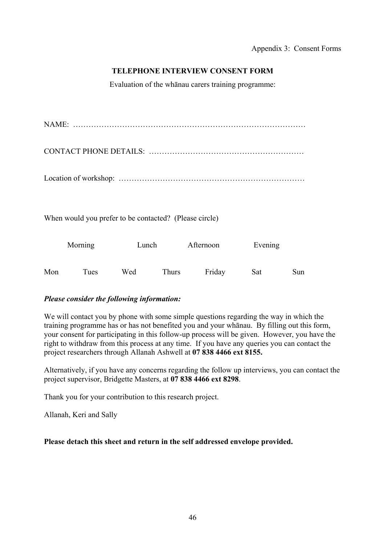#### **TELEPHONE INTERVIEW CONSENT FORM**

Evaluation of the whānau carers training programme:

NAME: ………………………………………………………………………………

Location of workshop: ………………………………………………………………

When would you prefer to be contacted? (Please circle)

|     | Morning | Lunch |       | Afternoon | Evening |     |
|-----|---------|-------|-------|-----------|---------|-----|
| Mon | Tues    | Wed   | Thurs | Friday    | Sat     | Sun |

#### *Please consider the following information:*

We will contact you by phone with some simple questions regarding the way in which the training programme has or has not benefited you and your whānau. By filling out this form, your consent for participating in this follow-up process will be given. However, you have the right to withdraw from this process at any time. If you have any queries you can contact the project researchers through Allanah Ashwell at **07 838 4466 ext 8155.** 

Alternatively, if you have any concerns regarding the follow up interviews, you can contact the project supervisor, Bridgette Masters, at **07 838 4466 ext 8298**.

Thank you for your contribution to this research project.

Allanah, Keri and Sally

#### **Please detach this sheet and return in the self addressed envelope provided.**